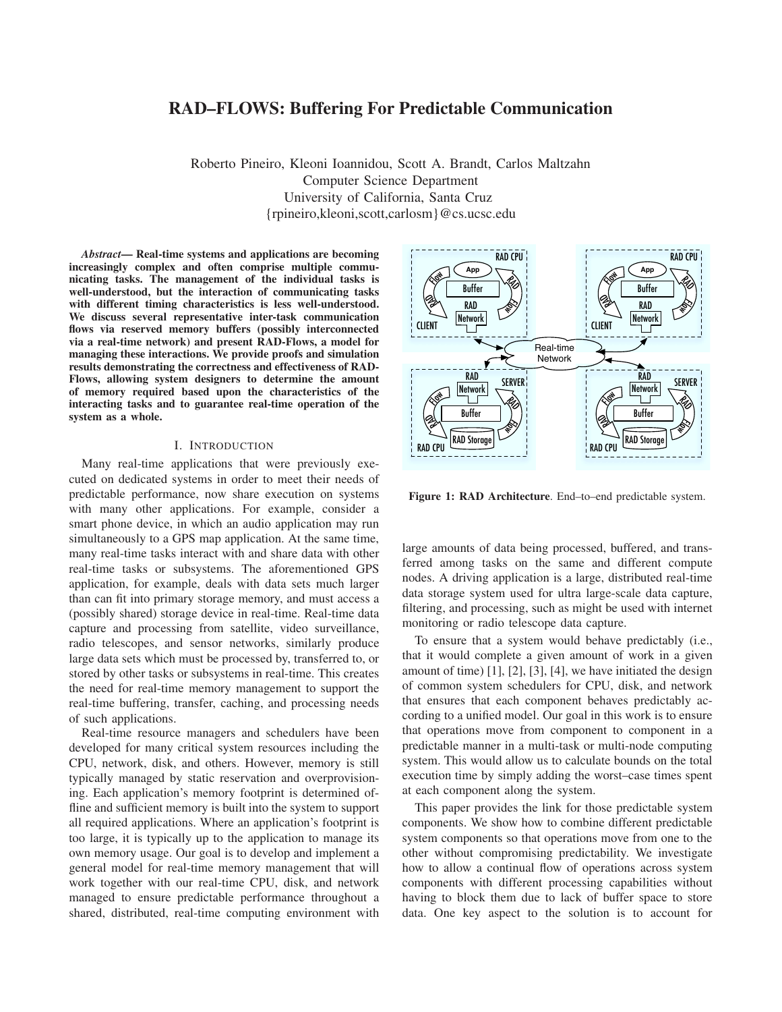# **RAD–FLOWS: Buffering For Predictable Communication**

Roberto Pineiro, Kleoni Ioannidou, Scott A. Brandt, Carlos Maltzahn Computer Science Department University of California, Santa Cruz {rpineiro,kleoni,scott,carlosm}@cs.ucsc.edu

*Abstract***— Real-time systems and applications are becoming increasingly complex and often comprise multiple communicating tasks. The management of the individual tasks is well-understood, but the interaction of communicating tasks with different timing characteristics is less well-understood. We discuss several representative inter-task communication flows via reserved memory buffers (possibly interconnected via a real-time network) and present RAD-Flows, a model for managing these interactions. We provide proofs and simulation results demonstrating the correctness and effectiveness of RAD-Flows, allowing system designers to determine the amount of memory required based upon the characteristics of the interacting tasks and to guarantee real-time operation of the system as a whole.**

# I. INTRODUCTION

Many real-time applications that were previously executed on dedicated systems in order to meet their needs of predictable performance, now share execution on systems with many other applications. For example, consider a smart phone device, in which an audio application may run simultaneously to a GPS map application. At the same time, many real-time tasks interact with and share data with other real-time tasks or subsystems. The aforementioned GPS application, for example, deals with data sets much larger than can fit into primary storage memory, and must access a (possibly shared) storage device in real-time. Real-time data capture and processing from satellite, video surveillance, radio telescopes, and sensor networks, similarly produce large data sets which must be processed by, transferred to, or stored by other tasks or subsystems in real-time. This creates the need for real-time memory management to support the real-time buffering, transfer, caching, and processing needs of such applications.

Real-time resource managers and schedulers have been developed for many critical system resources including the CPU, network, disk, and others. However, memory is still typically managed by static reservation and overprovisioning. Each application's memory footprint is determined offline and sufficient memory is built into the system to support all required applications. Where an application's footprint is too large, it is typically up to the application to manage its own memory usage. Our goal is to develop and implement a general model for real-time memory management that will work together with our real-time CPU, disk, and network managed to ensure predictable performance throughout a shared, distributed, real-time computing environment with



**Figure 1: RAD Architecture**. End–to–end predictable system.

large amounts of data being processed, buffered, and transferred among tasks on the same and different compute nodes. A driving application is a large, distributed real-time data storage system used for ultra large-scale data capture, filtering, and processing, such as might be used with internet monitoring or radio telescope data capture.

To ensure that a system would behave predictably (i.e., that it would complete a given amount of work in a given amount of time) [1], [2], [3], [4], we have initiated the design of common system schedulers for CPU, disk, and network that ensures that each component behaves predictably according to a unified model. Our goal in this work is to ensure that operations move from component to component in a predictable manner in a multi-task or multi-node computing system. This would allow us to calculate bounds on the total execution time by simply adding the worst–case times spent at each component along the system.

This paper provides the link for those predictable system components. We show how to combine different predictable system components so that operations move from one to the other without compromising predictability. We investigate how to allow a continual flow of operations across system components with different processing capabilities without having to block them due to lack of buffer space to store data. One key aspect to the solution is to account for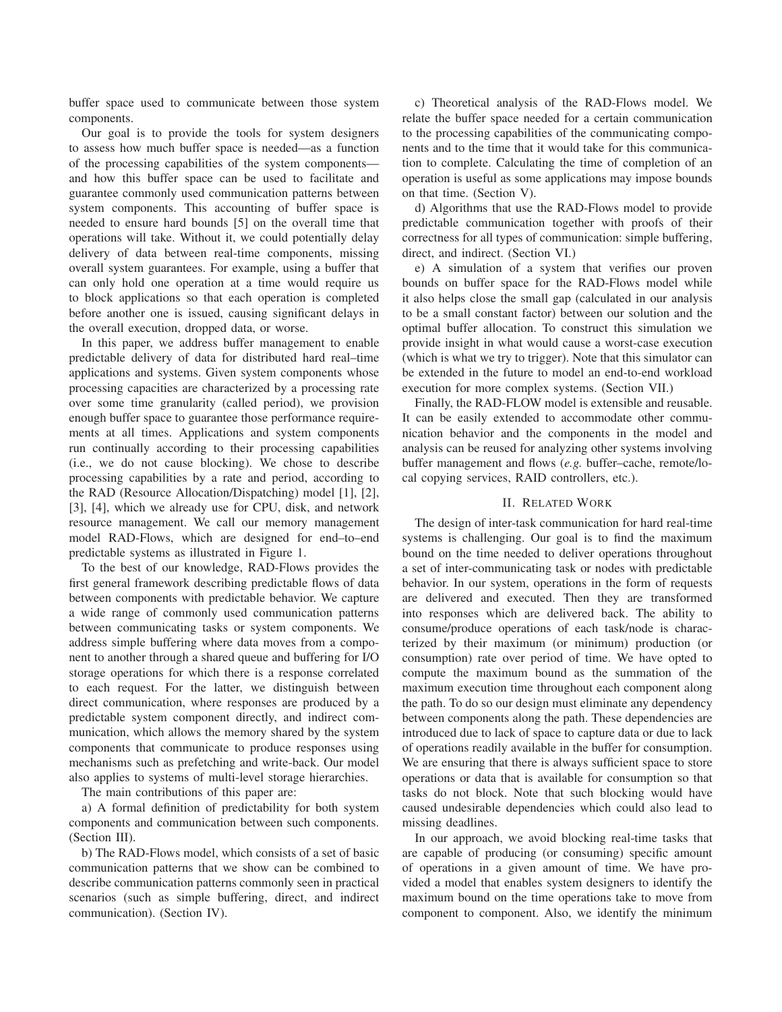buffer space used to communicate between those system components.

Our goal is to provide the tools for system designers to assess how much buffer space is needed—as a function of the processing capabilities of the system components and how this buffer space can be used to facilitate and guarantee commonly used communication patterns between system components. This accounting of buffer space is needed to ensure hard bounds [5] on the overall time that operations will take. Without it, we could potentially delay delivery of data between real-time components, missing overall system guarantees. For example, using a buffer that can only hold one operation at a time would require us to block applications so that each operation is completed before another one is issued, causing significant delays in the overall execution, dropped data, or worse.

In this paper, we address buffer management to enable predictable delivery of data for distributed hard real–time applications and systems. Given system components whose processing capacities are characterized by a processing rate over some time granularity (called period), we provision enough buffer space to guarantee those performance requirements at all times. Applications and system components run continually according to their processing capabilities (i.e., we do not cause blocking). We chose to describe processing capabilities by a rate and period, according to the RAD (Resource Allocation/Dispatching) model [1], [2], [3], [4], which we already use for CPU, disk, and network resource management. We call our memory management model RAD-Flows, which are designed for end–to–end predictable systems as illustrated in Figure 1.

To the best of our knowledge, RAD-Flows provides the first general framework describing predictable flows of data between components with predictable behavior. We capture a wide range of commonly used communication patterns between communicating tasks or system components. We address simple buffering where data moves from a component to another through a shared queue and buffering for I/O storage operations for which there is a response correlated to each request. For the latter, we distinguish between direct communication, where responses are produced by a predictable system component directly, and indirect communication, which allows the memory shared by the system components that communicate to produce responses using mechanisms such as prefetching and write-back. Our model also applies to systems of multi-level storage hierarchies.

The main contributions of this paper are:

a) A formal definition of predictability for both system components and communication between such components. (Section III).

b) The RAD-Flows model, which consists of a set of basic communication patterns that we show can be combined to describe communication patterns commonly seen in practical scenarios (such as simple buffering, direct, and indirect communication). (Section IV).

c) Theoretical analysis of the RAD-Flows model. We relate the buffer space needed for a certain communication to the processing capabilities of the communicating components and to the time that it would take for this communication to complete. Calculating the time of completion of an operation is useful as some applications may impose bounds on that time. (Section V).

d) Algorithms that use the RAD-Flows model to provide predictable communication together with proofs of their correctness for all types of communication: simple buffering, direct, and indirect. (Section VI.)

e) A simulation of a system that verifies our proven bounds on buffer space for the RAD-Flows model while it also helps close the small gap (calculated in our analysis to be a small constant factor) between our solution and the optimal buffer allocation. To construct this simulation we provide insight in what would cause a worst-case execution (which is what we try to trigger). Note that this simulator can be extended in the future to model an end-to-end workload execution for more complex systems. (Section VII.)

Finally, the RAD-FLOW model is extensible and reusable. It can be easily extended to accommodate other communication behavior and the components in the model and analysis can be reused for analyzing other systems involving buffer management and flows (*e.g.* buffer–cache, remote/local copying services, RAID controllers, etc.).

## II. RELATED WORK

The design of inter-task communication for hard real-time systems is challenging. Our goal is to find the maximum bound on the time needed to deliver operations throughout a set of inter-communicating task or nodes with predictable behavior. In our system, operations in the form of requests are delivered and executed. Then they are transformed into responses which are delivered back. The ability to consume/produce operations of each task/node is characterized by their maximum (or minimum) production (or consumption) rate over period of time. We have opted to compute the maximum bound as the summation of the maximum execution time throughout each component along the path. To do so our design must eliminate any dependency between components along the path. These dependencies are introduced due to lack of space to capture data or due to lack of operations readily available in the buffer for consumption. We are ensuring that there is always sufficient space to store operations or data that is available for consumption so that tasks do not block. Note that such blocking would have caused undesirable dependencies which could also lead to missing deadlines.

In our approach, we avoid blocking real-time tasks that are capable of producing (or consuming) specific amount of operations in a given amount of time. We have provided a model that enables system designers to identify the maximum bound on the time operations take to move from component to component. Also, we identify the minimum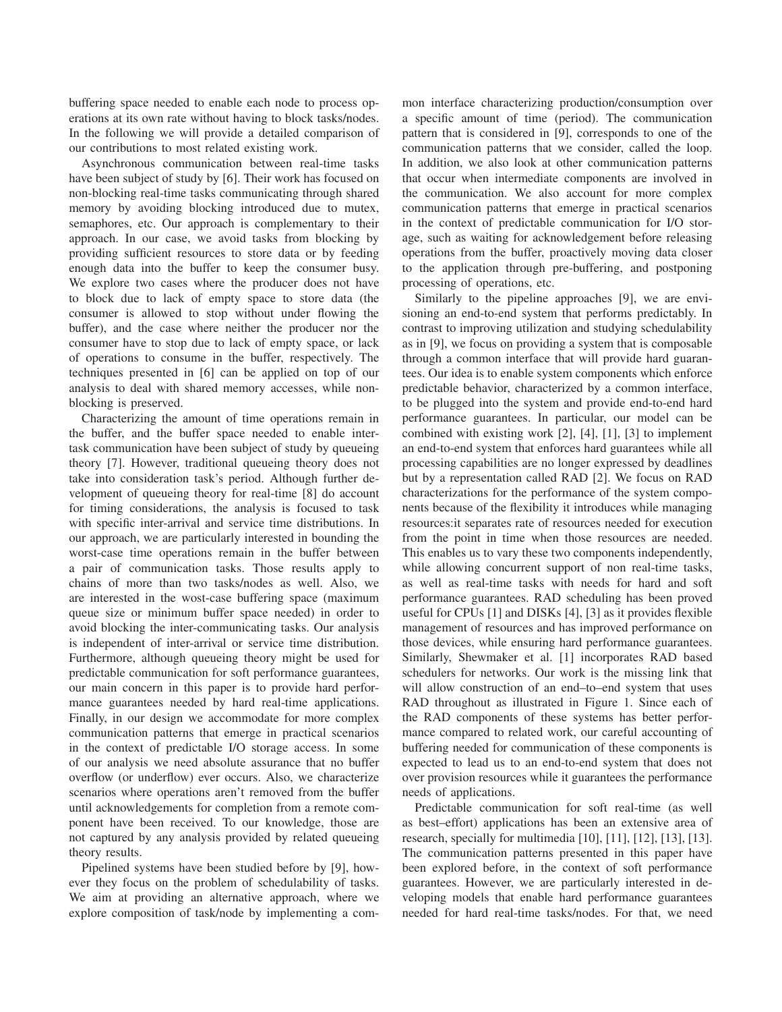buffering space needed to enable each node to process operations at its own rate without having to block tasks/nodes. In the following we will provide a detailed comparison of our contributions to most related existing work.

Asynchronous communication between real-time tasks have been subject of study by [6]. Their work has focused on non-blocking real-time tasks communicating through shared memory by avoiding blocking introduced due to mutex, semaphores, etc. Our approach is complementary to their approach. In our case, we avoid tasks from blocking by providing sufficient resources to store data or by feeding enough data into the buffer to keep the consumer busy. We explore two cases where the producer does not have to block due to lack of empty space to store data (the consumer is allowed to stop without under flowing the buffer), and the case where neither the producer nor the consumer have to stop due to lack of empty space, or lack of operations to consume in the buffer, respectively. The techniques presented in [6] can be applied on top of our analysis to deal with shared memory accesses, while nonblocking is preserved.

Characterizing the amount of time operations remain in the buffer, and the buffer space needed to enable intertask communication have been subject of study by queueing theory [7]. However, traditional queueing theory does not take into consideration task's period. Although further development of queueing theory for real-time [8] do account for timing considerations, the analysis is focused to task with specific inter-arrival and service time distributions. In our approach, we are particularly interested in bounding the worst-case time operations remain in the buffer between a pair of communication tasks. Those results apply to chains of more than two tasks/nodes as well. Also, we are interested in the wost-case buffering space (maximum queue size or minimum buffer space needed) in order to avoid blocking the inter-communicating tasks. Our analysis is independent of inter-arrival or service time distribution. Furthermore, although queueing theory might be used for predictable communication for soft performance guarantees, our main concern in this paper is to provide hard performance guarantees needed by hard real-time applications. Finally, in our design we accommodate for more complex communication patterns that emerge in practical scenarios in the context of predictable I/O storage access. In some of our analysis we need absolute assurance that no buffer overflow (or underflow) ever occurs. Also, we characterize scenarios where operations aren't removed from the buffer until acknowledgements for completion from a remote component have been received. To our knowledge, those are not captured by any analysis provided by related queueing theory results.

Pipelined systems have been studied before by [9], however they focus on the problem of schedulability of tasks. We aim at providing an alternative approach, where we explore composition of task/node by implementing a common interface characterizing production/consumption over a specific amount of time (period). The communication pattern that is considered in [9], corresponds to one of the communication patterns that we consider, called the loop. In addition, we also look at other communication patterns that occur when intermediate components are involved in the communication. We also account for more complex communication patterns that emerge in practical scenarios in the context of predictable communication for I/O storage, such as waiting for acknowledgement before releasing operations from the buffer, proactively moving data closer to the application through pre-buffering, and postponing processing of operations, etc.

Similarly to the pipeline approaches [9], we are envisioning an end-to-end system that performs predictably. In contrast to improving utilization and studying schedulability as in [9], we focus on providing a system that is composable through a common interface that will provide hard guarantees. Our idea is to enable system components which enforce predictable behavior, characterized by a common interface, to be plugged into the system and provide end-to-end hard performance guarantees. In particular, our model can be combined with existing work [2], [4], [1], [3] to implement an end-to-end system that enforces hard guarantees while all processing capabilities are no longer expressed by deadlines but by a representation called RAD [2]. We focus on RAD characterizations for the performance of the system components because of the flexibility it introduces while managing resources:it separates rate of resources needed for execution from the point in time when those resources are needed. This enables us to vary these two components independently, while allowing concurrent support of non real-time tasks, as well as real-time tasks with needs for hard and soft performance guarantees. RAD scheduling has been proved useful for CPUs [1] and DISKs [4], [3] as it provides flexible management of resources and has improved performance on those devices, while ensuring hard performance guarantees. Similarly, Shewmaker et al. [1] incorporates RAD based schedulers for networks. Our work is the missing link that will allow construction of an end–to–end system that uses RAD throughout as illustrated in Figure 1. Since each of the RAD components of these systems has better performance compared to related work, our careful accounting of buffering needed for communication of these components is expected to lead us to an end-to-end system that does not over provision resources while it guarantees the performance needs of applications.

Predictable communication for soft real-time (as well as best–effort) applications has been an extensive area of research, specially for multimedia [10], [11], [12], [13], [13]. The communication patterns presented in this paper have been explored before, in the context of soft performance guarantees. However, we are particularly interested in developing models that enable hard performance guarantees needed for hard real-time tasks/nodes. For that, we need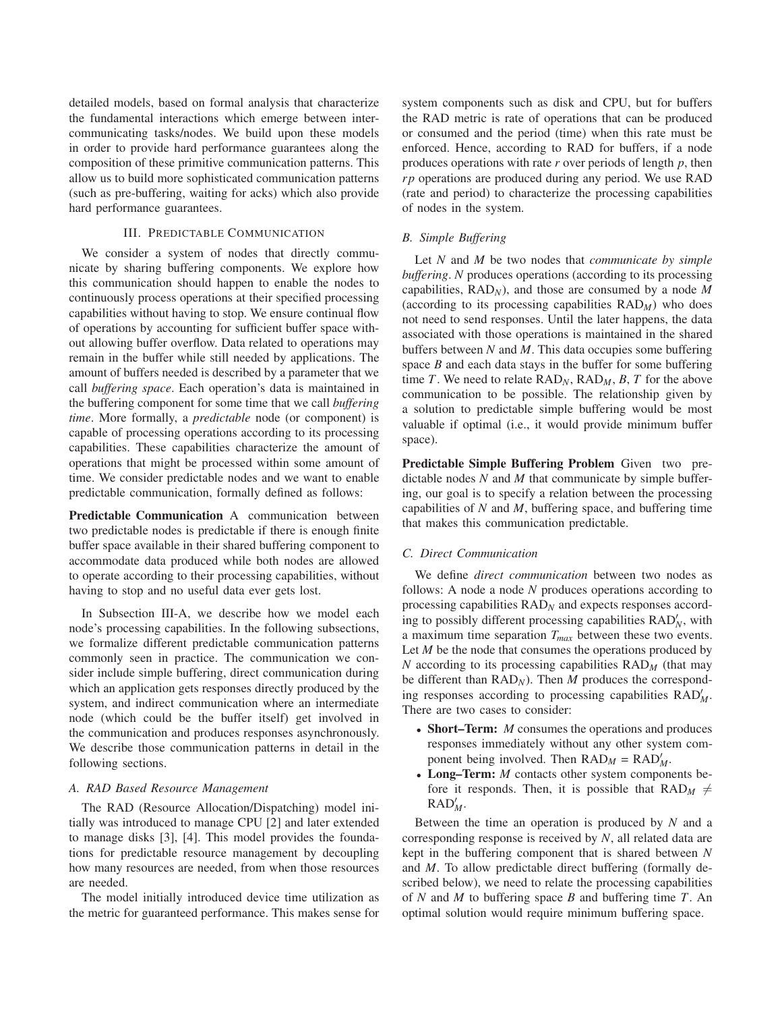detailed models, based on formal analysis that characterize the fundamental interactions which emerge between intercommunicating tasks/nodes. We build upon these models in order to provide hard performance guarantees along the composition of these primitive communication patterns. This allow us to build more sophisticated communication patterns (such as pre-buffering, waiting for acks) which also provide hard performance guarantees.

# III. PREDICTABLE COMMUNICATION

We consider a system of nodes that directly communicate by sharing buffering components. We explore how this communication should happen to enable the nodes to continuously process operations at their specified processing capabilities without having to stop. We ensure continual flow of operations by accounting for sufficient buffer space without allowing buffer overflow. Data related to operations may remain in the buffer while still needed by applications. The amount of buffers needed is described by a parameter that we call *buffering space*. Each operation's data is maintained in the buffering component for some time that we call *buffering time*. More formally, a *predictable* node (or component) is capable of processing operations according to its processing capabilities. These capabilities characterize the amount of operations that might be processed within some amount of time. We consider predictable nodes and we want to enable predictable communication, formally defined as follows:

**Predictable Communication** A communication between two predictable nodes is predictable if there is enough finite buffer space available in their shared buffering component to accommodate data produced while both nodes are allowed to operate according to their processing capabilities, without having to stop and no useful data ever gets lost.

In Subsection III-A, we describe how we model each node's processing capabilities. In the following subsections, we formalize different predictable communication patterns commonly seen in practice. The communication we consider include simple buffering, direct communication during which an application gets responses directly produced by the system, and indirect communication where an intermediate node (which could be the buffer itself) get involved in the communication and produces responses asynchronously. We describe those communication patterns in detail in the following sections.

# *A. RAD Based Resource Management*

The RAD (Resource Allocation/Dispatching) model initially was introduced to manage CPU [2] and later extended to manage disks [3], [4]. This model provides the foundations for predictable resource management by decoupling how many resources are needed, from when those resources are needed.

The model initially introduced device time utilization as the metric for guaranteed performance. This makes sense for system components such as disk and CPU, but for buffers the RAD metric is rate of operations that can be produced or consumed and the period (time) when this rate must be enforced. Hence, according to RAD for buffers, if a node produces operations with rate *r* over periods of length *p*, then *rp* operations are produced during any period. We use RAD (rate and period) to characterize the processing capabilities of nodes in the system.

# *B. Simple Buffering*

Let *N* and *M* be two nodes that *communicate by simple buffering*. *N* produces operations (according to its processing capabilities, RAD*N*), and those are consumed by a node *M* (according to its processing capabilities  $RAD_M$ ) who does not need to send responses. Until the later happens, the data associated with those operations is maintained in the shared buffers between *N* and *M*. This data occupies some buffering space *B* and each data stays in the buffer for some buffering time *T*. We need to relate  $RAD_N$ ,  $RAD_M$ , *B*, *T* for the above communication to be possible. The relationship given by a solution to predictable simple buffering would be most valuable if optimal (i.e., it would provide minimum buffer space).

**Predictable Simple Buffering Problem** Given two predictable nodes *N* and *M* that communicate by simple buffering, our goal is to specify a relation between the processing capabilities of *N* and *M*, buffering space, and buffering time that makes this communication predictable.

# *C. Direct Communication*

We define *direct communication* between two nodes as follows: A node a node *N* produces operations according to processing capabilities RAD*<sup>N</sup>* and expects responses according to possibly different processing capabilities RAD<sup>'</sup><sub>N</sub>, with a maximum time separation *Tmax* between these two events. Let *M* be the node that consumes the operations produced by *N* according to its processing capabilities RAD*<sup>M</sup>* (that may be different than RAD*N*). Then *M* produces the corresponding responses according to processing capabilities  $RAD'_{M}$ . There are two cases to consider:

- **Short–Term:** *M* consumes the operations and produces responses immediately without any other system component being involved. Then  $\text{RAD}_M = \text{RAD}'_M$ .
- **Long–Term:** *M* contacts other system components before it responds. Then, it is possible that  $RAD_M \neq$ RAD! *M*.

Between the time an operation is produced by *N* and a corresponding response is received by *N*, all related data are kept in the buffering component that is shared between *N* and *M*. To allow predictable direct buffering (formally described below), we need to relate the processing capabilities of *N* and *M* to buffering space *B* and buffering time *T*. An optimal solution would require minimum buffering space.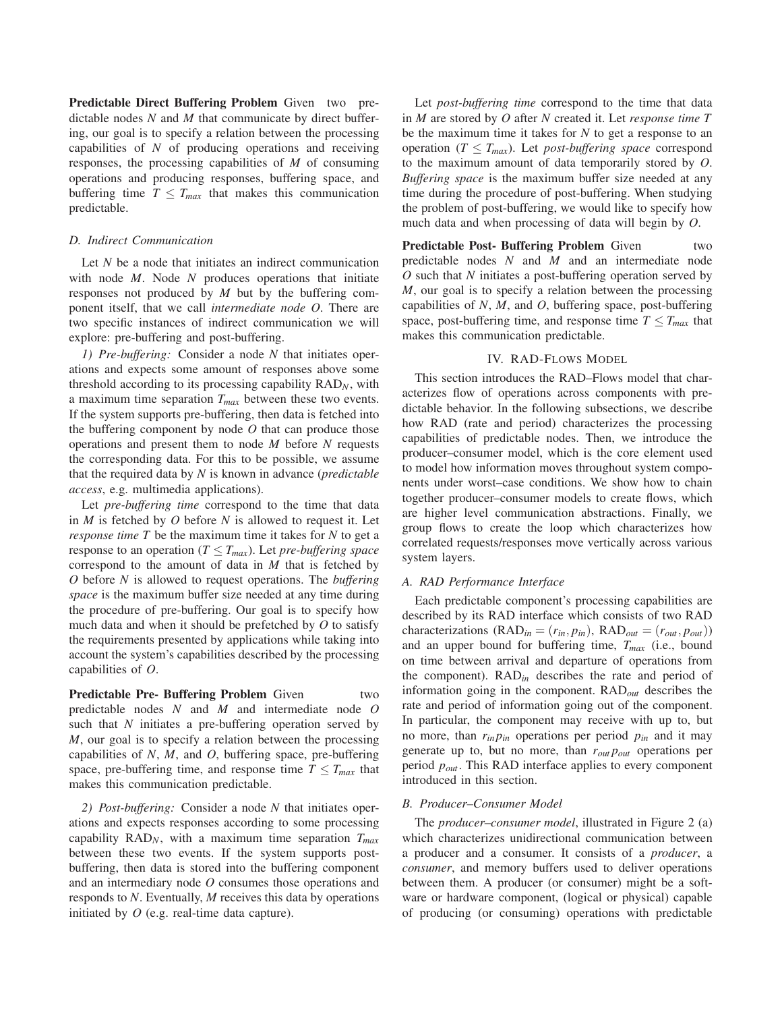**Predictable Direct Buffering Problem** Given two predictable nodes *N* and *M* that communicate by direct buffering, our goal is to specify a relation between the processing capabilities of *N* of producing operations and receiving responses, the processing capabilities of *M* of consuming operations and producing responses, buffering space, and buffering time  $T \leq T_{max}$  that makes this communication predictable.

# *D. Indirect Communication*

Let *N* be a node that initiates an indirect communication with node *M*. Node *N* produces operations that initiate responses not produced by *M* but by the buffering component itself, that we call *intermediate node O*. There are two specific instances of indirect communication we will explore: pre-buffering and post-buffering.

*1) Pre-buffering:* Consider a node *N* that initiates operations and expects some amount of responses above some threshold according to its processing capability RAD*N*, with a maximum time separation *Tmax* between these two events. If the system supports pre-buffering, then data is fetched into the buffering component by node *O* that can produce those operations and present them to node *M* before *N* requests the corresponding data. For this to be possible, we assume that the required data by *N* is known in advance (*predictable access*, e.g. multimedia applications).

Let *pre-buffering time* correspond to the time that data in *M* is fetched by *O* before *N* is allowed to request it. Let *response time T* be the maximum time it takes for *N* to get a response to an operation ( $T \leq T_{max}$ ). Let *pre-buffering space* correspond to the amount of data in *M* that is fetched by *O* before *N* is allowed to request operations. The *buffering space* is the maximum buffer size needed at any time during the procedure of pre-buffering. Our goal is to specify how much data and when it should be prefetched by *O* to satisfy the requirements presented by applications while taking into account the system's capabilities described by the processing capabilities of *O*.

**Predictable Pre- Buffering Problem** Given two predictable nodes *N* and *M* and intermediate node *O* such that *N* initiates a pre-buffering operation served by *M*, our goal is to specify a relation between the processing capabilities of *N*, *M*, and *O*, buffering space, pre-buffering space, pre-buffering time, and response time  $T \leq T_{max}$  that makes this communication predictable.

*2) Post-buffering:* Consider a node *N* that initiates operations and expects responses according to some processing capability RAD*N*, with a maximum time separation *Tmax* between these two events. If the system supports postbuffering, then data is stored into the buffering component and an intermediary node *O* consumes those operations and responds to *N*. Eventually, *M* receives this data by operations initiated by *O* (e.g. real-time data capture).

Let *post-buffering time* correspond to the time that data in *M* are stored by *O* after *N* created it. Let *response time T* be the maximum time it takes for *N* to get a response to an operation ( $T \leq T_{max}$ ). Let *post-buffering space* correspond to the maximum amount of data temporarily stored by *O*. *Buffering space* is the maximum buffer size needed at any time during the procedure of post-buffering. When studying the problem of post-buffering, we would like to specify how much data and when processing of data will begin by *O*.

**Predictable Post- Buffering Problem** Given two predictable nodes *N* and *M* and an intermediate node *O* such that *N* initiates a post-buffering operation served by *M*, our goal is to specify a relation between the processing capabilities of *N*, *M*, and *O*, buffering space, post-buffering space, post-buffering time, and response time  $T \leq T_{max}$  that makes this communication predictable.

# IV. RAD-FLOWS MODEL

This section introduces the RAD–Flows model that characterizes flow of operations across components with predictable behavior. In the following subsections, we describe how RAD (rate and period) characterizes the processing capabilities of predictable nodes. Then, we introduce the producer–consumer model, which is the core element used to model how information moves throughout system components under worst–case conditions. We show how to chain together producer–consumer models to create flows, which are higher level communication abstractions. Finally, we group flows to create the loop which characterizes how correlated requests/responses move vertically across various system layers.

# *A. RAD Performance Interface*

Each predictable component's processing capabilities are described by its RAD interface which consists of two RAD characterizations ( $RAD_{in} = (r_{in}, p_{in})$ ,  $RAD_{out} = (r_{out}, p_{out})$ ) and an upper bound for buffering time, *Tmax* (i.e., bound on time between arrival and departure of operations from the component). RAD*in* describes the rate and period of information going in the component. RAD*out* describes the rate and period of information going out of the component. In particular, the component may receive with up to, but no more, than  $r_{in}p_{in}$  operations per period  $p_{in}$  and it may generate up to, but no more, than *rout pout* operations per period *pout* . This RAD interface applies to every component introduced in this section.

#### *B. Producer–Consumer Model*

The *producer–consumer model*, illustrated in Figure 2 (a) which characterizes unidirectional communication between a producer and a consumer. It consists of a *producer*, a *consumer*, and memory buffers used to deliver operations between them. A producer (or consumer) might be a software or hardware component, (logical or physical) capable of producing (or consuming) operations with predictable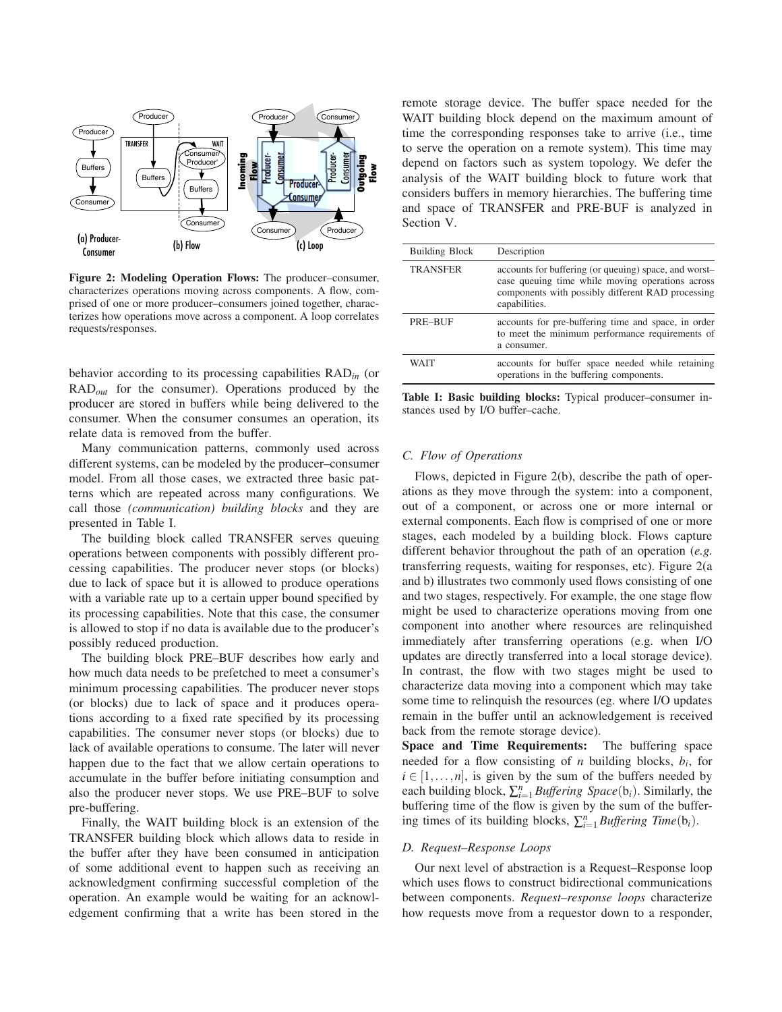

**Figure 2: Modeling Operation Flows:** The producer–consumer, characterizes operations moving across components. A flow, comprised of one or more producer–consumers joined together, characterizes how operations move across a component. A loop correlates requests/responses.

behavior according to its processing capabilities RAD*in* (or RAD*out* for the consumer). Operations produced by the producer are stored in buffers while being delivered to the consumer. When the consumer consumes an operation, its relate data is removed from the buffer.

Many communication patterns, commonly used across different systems, can be modeled by the producer–consumer model. From all those cases, we extracted three basic patterns which are repeated across many configurations. We call those *(communication) building blocks* and they are presented in Table I.

The building block called TRANSFER serves queuing operations between components with possibly different processing capabilities. The producer never stops (or blocks) due to lack of space but it is allowed to produce operations with a variable rate up to a certain upper bound specified by its processing capabilities. Note that this case, the consumer is allowed to stop if no data is available due to the producer's possibly reduced production.

The building block PRE–BUF describes how early and how much data needs to be prefetched to meet a consumer's minimum processing capabilities. The producer never stops (or blocks) due to lack of space and it produces operations according to a fixed rate specified by its processing capabilities. The consumer never stops (or blocks) due to lack of available operations to consume. The later will never happen due to the fact that we allow certain operations to accumulate in the buffer before initiating consumption and also the producer never stops. We use PRE–BUF to solve pre-buffering.

Finally, the WAIT building block is an extension of the TRANSFER building block which allows data to reside in the buffer after they have been consumed in anticipation of some additional event to happen such as receiving an acknowledgment confirming successful completion of the operation. An example would be waiting for an acknowledgement confirming that a write has been stored in the remote storage device. The buffer space needed for the WAIT building block depend on the maximum amount of time the corresponding responses take to arrive (i.e., time to serve the operation on a remote system). This time may depend on factors such as system topology. We defer the analysis of the WAIT building block to future work that considers buffers in memory hierarchies. The buffering time and space of TRANSFER and PRE-BUF is analyzed in Section V.

| <b>Building Block</b> | Description                                                                                                                                                                     |
|-----------------------|---------------------------------------------------------------------------------------------------------------------------------------------------------------------------------|
| <b>TRANSFER</b>       | accounts for buffering (or queuing) space, and worst-<br>case queuing time while moving operations across<br>components with possibly different RAD processing<br>capabilities. |
| PRE-BUF               | accounts for pre-buffering time and space, in order<br>to meet the minimum performance requirements of<br>a consumer.                                                           |
| WAIT                  | accounts for buffer space needed while retaining<br>operations in the buffering components.                                                                                     |

**Table I: Basic building blocks:** Typical producer–consumer instances used by I/O buffer–cache.

## *C. Flow of Operations*

Flows, depicted in Figure 2(b), describe the path of operations as they move through the system: into a component, out of a component, or across one or more internal or external components. Each flow is comprised of one or more stages, each modeled by a building block. Flows capture different behavior throughout the path of an operation (*e.g.* transferring requests, waiting for responses, etc). Figure 2(a and b) illustrates two commonly used flows consisting of one and two stages, respectively. For example, the one stage flow might be used to characterize operations moving from one component into another where resources are relinquished immediately after transferring operations (e.g. when I/O updates are directly transferred into a local storage device). In contrast, the flow with two stages might be used to characterize data moving into a component which may take some time to relinquish the resources (eg. where I/O updates remain in the buffer until an acknowledgement is received back from the remote storage device).

**Space and Time Requirements:** The buffering space needed for a flow consisting of *n* building blocks, *bi*, for  $i \in [1, \ldots, n]$ , is given by the sum of the buffers needed by each building block,  $\sum_{i=1}^{n} \text{Buffering Space}(b_i)$ . Similarly, the buffering time of the flow is given by the sum of the buffering times of its building blocks,  $\sum_{i=1}^{n} \text{Buffering Time}(b_i)$ .

## *D. Request–Response Loops*

Our next level of abstraction is a Request–Response loop which uses flows to construct bidirectional communications between components. *Request–response loops* characterize how requests move from a requestor down to a responder,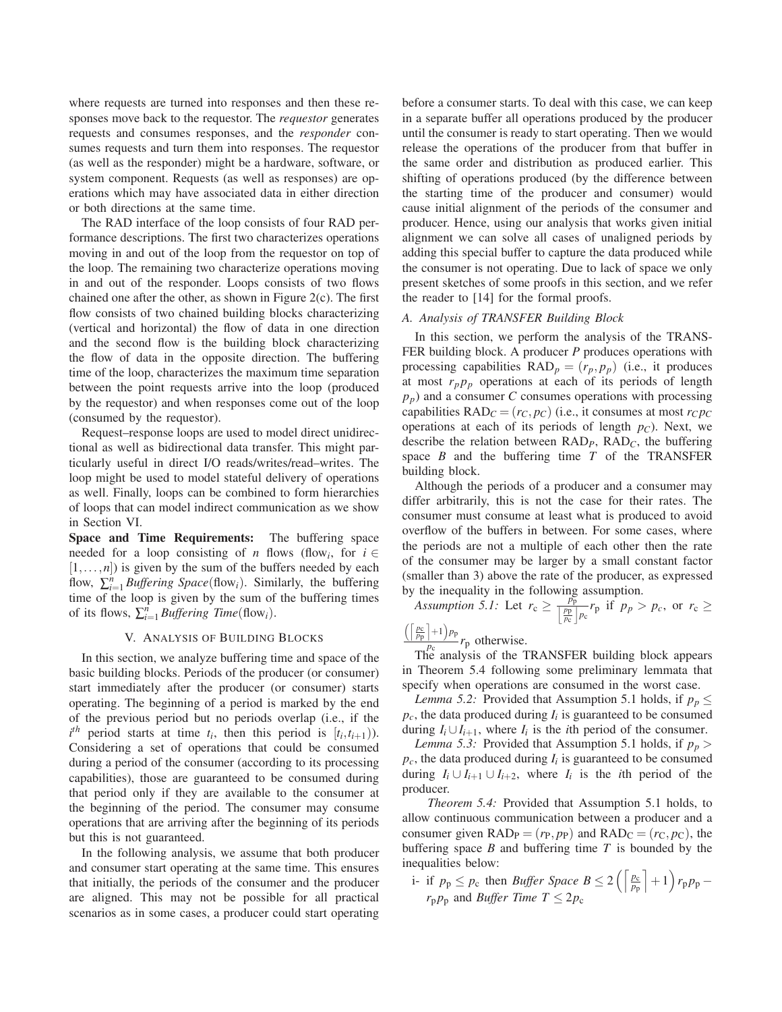where requests are turned into responses and then these responses move back to the requestor. The *requestor* generates requests and consumes responses, and the *responder* consumes requests and turn them into responses. The requestor (as well as the responder) might be a hardware, software, or system component. Requests (as well as responses) are operations which may have associated data in either direction or both directions at the same time.

The RAD interface of the loop consists of four RAD performance descriptions. The first two characterizes operations moving in and out of the loop from the requestor on top of the loop. The remaining two characterize operations moving in and out of the responder. Loops consists of two flows chained one after the other, as shown in Figure 2(c). The first flow consists of two chained building blocks characterizing (vertical and horizontal) the flow of data in one direction and the second flow is the building block characterizing the flow of data in the opposite direction. The buffering time of the loop, characterizes the maximum time separation between the point requests arrive into the loop (produced by the requestor) and when responses come out of the loop (consumed by the requestor).

Request–response loops are used to model direct unidirectional as well as bidirectional data transfer. This might particularly useful in direct I/O reads/writes/read–writes. The loop might be used to model stateful delivery of operations as well. Finally, loops can be combined to form hierarchies of loops that can model indirect communication as we show in Section VI.

**Space and Time Requirements:** The buffering space needed for a loop consisting of *n* flows (flow<sub>*i*</sub>, for  $i \in$  $[1, \ldots, n]$ ) is given by the sum of the buffers needed by each flow,  $\sum_{i=1}^{n}$  *Buffering Space*(flow<sub>i</sub>). Similarly, the buffering time of the loop is given by the sum of the buffering times of its flows,  $\sum_{i=1}^{n}$  *Buffering Time*(flow<sub>*i*</sub>).

#### V. ANALYSIS OF BUILDING BLOCKS

In this section, we analyze buffering time and space of the basic building blocks. Periods of the producer (or consumer) start immediately after the producer (or consumer) starts operating. The beginning of a period is marked by the end of the previous period but no periods overlap (i.e., if the  $i^{th}$  period starts at time  $t_i$ , then this period is  $[t_i, t_{i+1})$ ). Considering a set of operations that could be consumed during a period of the consumer (according to its processing capabilities), those are guaranteed to be consumed during that period only if they are available to the consumer at the beginning of the period. The consumer may consume operations that are arriving after the beginning of its periods but this is not guaranteed.

In the following analysis, we assume that both producer and consumer start operating at the same time. This ensures that initially, the periods of the consumer and the producer are aligned. This may not be possible for all practical scenarios as in some cases, a producer could start operating before a consumer starts. To deal with this case, we can keep in a separate buffer all operations produced by the producer until the consumer is ready to start operating. Then we would release the operations of the producer from that buffer in the same order and distribution as produced earlier. This shifting of operations produced (by the difference between the starting time of the producer and consumer) would cause initial alignment of the periods of the consumer and producer. Hence, using our analysis that works given initial alignment we can solve all cases of unaligned periods by adding this special buffer to capture the data produced while the consumer is not operating. Due to lack of space we only present sketches of some proofs in this section, and we refer the reader to [14] for the formal proofs.

#### *A. Analysis of TRANSFER Building Block*

In this section, we perform the analysis of the TRANS-FER building block. A producer *P* produces operations with processing capabilities  $\text{RAD}_p = (r_p, p_p)$  (i.e., it produces at most  $r_p p_p$  operations at each of its periods of length *pp*) and a consumer *C* consumes operations with processing capabilities  $\text{RAD}_C = (r_C, p_C)$  (i.e., it consumes at most  $r_C p_C$ ) operations at each of its periods of length  $p<sub>C</sub>$ ). Next, we describe the relation between RAD*P*, RAD*C*, the buffering space *B* and the buffering time *T* of the TRANSFER building block.

Although the periods of a producer and a consumer may differ arbitrarily, this is not the case for their rates. The consumer must consume at least what is produced to avoid overflow of the buffers in between. For some cases, where the periods are not a multiple of each other then the rate of the consumer may be larger by a small constant factor (smaller than 3) above the rate of the producer, as expressed

by the inequality in the following assumption.<br> *Assumption 5.1:* Let  $r_c \ge \frac{p_p}{\left|\frac{p_c}{p_c}\right|p_c} r_p$  if  $p_p > p_c$ , or  $r_c \ge$ 

 $\frac{\left(\left[\frac{p_c}{p_p}\right]+1\right)p_p}{\sum_{\text{p}} p_c}$  *r*<sub>p</sub> otherwise.

The analysis of the TRANSFER building block appears in Theorem 5.4 following some preliminary lemmata that specify when operations are consumed in the worst case.

*Lemma 5.2:* Provided that Assumption 5.1 holds, if  $p_p \leq$  $p_c$ , the data produced during  $I_i$  is guaranteed to be consumed during  $I_i \cup I_{i+1}$ , where  $I_i$  is the *i*th period of the consumer.

*Lemma 5.3:* Provided that Assumption 5.1 holds, if  $p_p$  $p_c$ , the data produced during  $I_i$  is guaranteed to be consumed during  $I_i \cup I_{i+1} \cup I_{i+2}$ , where  $I_i$  is the *i*th period of the producer.

*Theorem 5.4:* Provided that Assumption 5.1 holds, to allow continuous communication between a producer and a consumer given  $\text{RAD}_P = (r_P, p_P)$  and  $\text{RAD}_C = (r_C, p_C)$ , the buffering space  $B$  and buffering time  $T$  is bounded by the inequalities below:

i- if  $p_p \leq p_c$  then *Buffer Space*  $B \leq 2\left(\left\lceil \frac{p_c}{p_p} \right\rceil + 1\right) r_p p_p$  –  $r_{\rm p} p_{\rm p}$  and *Buffer Time T*  $\leq 2p_{\rm c}$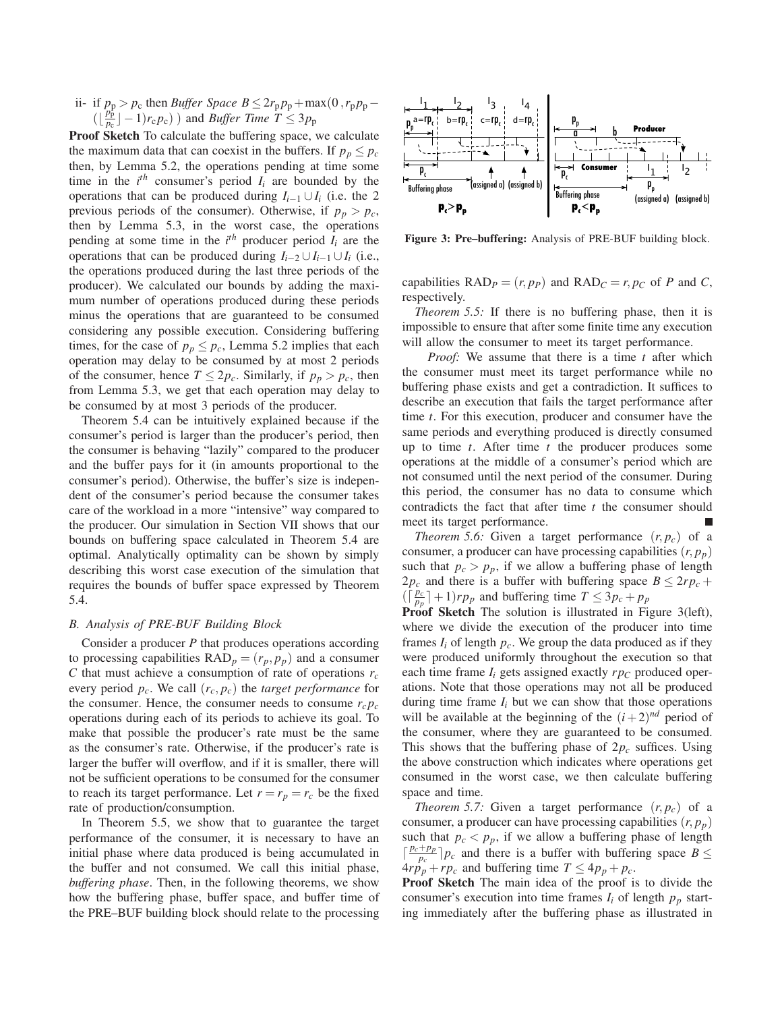ii- if  $p_p > p_c$  then *Buffer Space B* ≤  $2r_p p_p + \max(0, r_p p_p \left( \lfloor \frac{p_{\rm p}^{\rm p}}{p_{\rm c}} \rfloor -1 \right) r_{\rm c} p_{\rm c}$ ) and *Buffer Time T*  $\leq 3 p_{\rm p}$ 

**Proof Sketch** To calculate the buffering space, we calculate the maximum data that can coexist in the buffers. If  $p_p \leq p_c$ then, by Lemma 5.2, the operations pending at time some time in the  $i^{th}$  consumer's period  $I_i$  are bounded by the operations that can be produced during  $I_{i-1} \cup I_i$  (i.e. the 2 previous periods of the consumer). Otherwise, if  $p_p > p_c$ , then by Lemma 5.3, in the worst case, the operations pending at some time in the  $i^{th}$  producer period  $I_i$  are the operations that can be produced during  $I_{i-2} \cup I_{i-1} \cup I_i$  (i.e., the operations produced during the last three periods of the producer). We calculated our bounds by adding the maximum number of operations produced during these periods minus the operations that are guaranteed to be consumed considering any possible execution. Considering buffering times, for the case of  $p_p \leq p_c$ , Lemma 5.2 implies that each operation may delay to be consumed by at most 2 periods of the consumer, hence  $T \leq 2p_c$ . Similarly, if  $p_p > p_c$ , then from Lemma 5.3, we get that each operation may delay to be consumed by at most 3 periods of the producer.

Theorem 5.4 can be intuitively explained because if the consumer's period is larger than the producer's period, then the consumer is behaving "lazily" compared to the producer and the buffer pays for it (in amounts proportional to the consumer's period). Otherwise, the buffer's size is independent of the consumer's period because the consumer takes care of the workload in a more "intensive" way compared to the producer. Our simulation in Section VII shows that our bounds on buffering space calculated in Theorem 5.4 are optimal. Analytically optimality can be shown by simply describing this worst case execution of the simulation that requires the bounds of buffer space expressed by Theorem 5.4.

## *B. Analysis of PRE-BUF Building Block*

Consider a producer *P* that produces operations according to processing capabilities  $\text{RAD}_p = (r_p, p_p)$  and a consumer *C* that must achieve a consumption of rate of operations  $r_c$ every period *pc*. We call (*rc*, *pc*) the *target performance* for the consumer. Hence, the consumer needs to consume  $r_c p_c$ operations during each of its periods to achieve its goal. To make that possible the producer's rate must be the same as the consumer's rate. Otherwise, if the producer's rate is larger the buffer will overflow, and if it is smaller, there will not be sufficient operations to be consumed for the consumer to reach its target performance. Let  $r = r_p = r_c$  be the fixed rate of production/consumption.

In Theorem 5.5, we show that to guarantee the target performance of the consumer, it is necessary to have an initial phase where data produced is being accumulated in the buffer and not consumed. We call this initial phase, *buffering phase*. Then, in the following theorems, we show how the buffering phase, buffer space, and buffer time of the PRE–BUF building block should relate to the processing



**Figure 3: Pre–buffering:** Analysis of PRE-BUF building block.

capabilities  $\text{RAD}_P = (r, p_P)$  and  $\text{RAD}_C = r, p_C$  of *P* and *C*, respectively.

*Theorem 5.5:* If there is no buffering phase, then it is impossible to ensure that after some finite time any execution will allow the consumer to meet its target performance.

*Proof:* We assume that there is a time *t* after which the consumer must meet its target performance while no buffering phase exists and get a contradiction. It suffices to describe an execution that fails the target performance after time *t*. For this execution, producer and consumer have the same periods and everything produced is directly consumed up to time *t*. After time *t* the producer produces some operations at the middle of a consumer's period which are not consumed until the next period of the consumer. During this period, the consumer has no data to consume which contradicts the fact that after time *t* the consumer should meet its target performance.

*Theorem 5.6:* Given a target performance  $(r, p_c)$  of a consumer, a producer can have processing capabilities  $(r, p_p)$ such that  $p_c > p_p$ , if we allow a buffering phase of length  $2p_c$  and there is a buffer with buffering space  $B \leq 2rp_c +$  $(\lceil \frac{p_c}{p_p} \rceil + 1)rp_p$  and buffering time  $T \leq 3p_c + p_p$ 

**Proof Sketch** The solution is illustrated in Figure 3(left), where we divide the execution of the producer into time frames  $I_i$  of length  $p_c$ . We group the data produced as if they were produced uniformly throughout the execution so that each time frame  $I_i$  gets assigned exactly  $r p_C$  produced operations. Note that those operations may not all be produced during time frame  $I_i$  but we can show that those operations will be available at the beginning of the  $(i+2)^{nd}$  period of the consumer, where they are guaranteed to be consumed. This shows that the buffering phase of  $2p_c$  suffices. Using the above construction which indicates where operations get consumed in the worst case, we then calculate buffering space and time.

*Theorem 5.7:* Given a target performance  $(r, p_c)$  of a consumer, a producer can have processing capabilities  $(r, p_p)$ such that  $p_c < p_p$ , if we allow a buffering phase of length  $\left[\frac{p_c+p_p}{p_c}\right]p_c$  and there is a buffer with buffering space  $B \leq$  $4rp_p + rp_c$  and buffering time  $T \leq 4p_p + p_c$ .

**Proof Sketch** The main idea of the proof is to divide the consumer's execution into time frames  $I_i$  of length  $p_p$  starting immediately after the buffering phase as illustrated in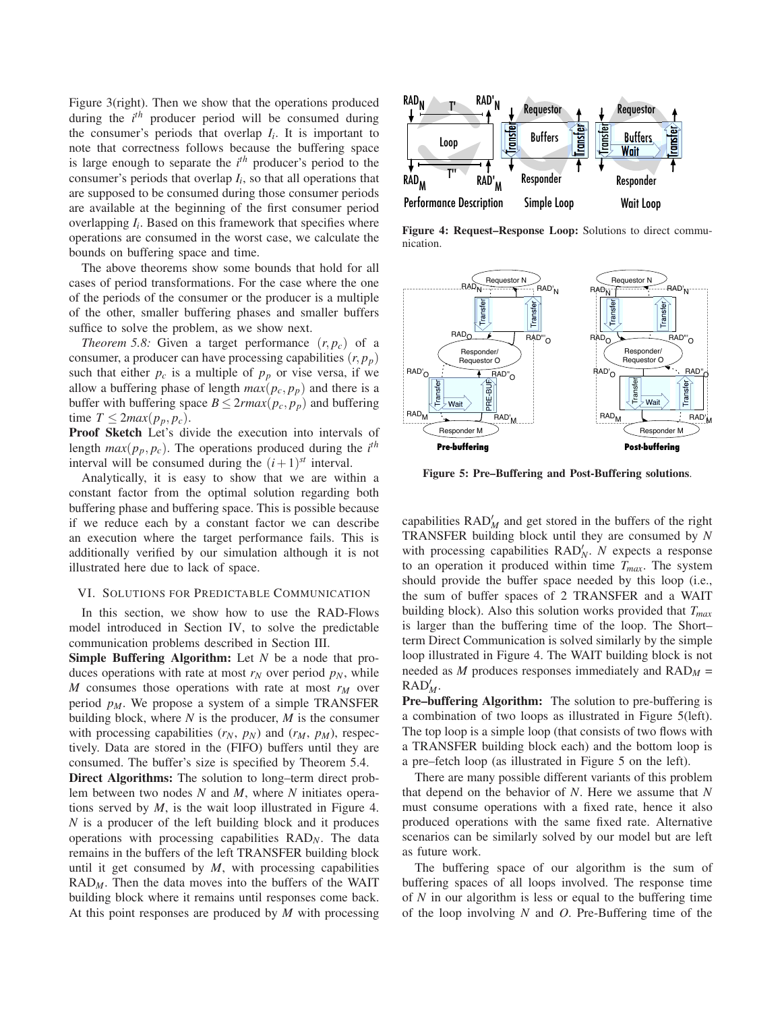Figure 3(right). Then we show that the operations produced during the *i th* producer period will be consumed during the consumer's periods that overlap  $I_i$ . It is important to note that correctness follows because the buffering space is large enough to separate the *i th* producer's period to the consumer's periods that overlap *Ii*, so that all operations that are supposed to be consumed during those consumer periods are available at the beginning of the first consumer period overlapping  $I_i$ . Based on this framework that specifies where operations are consumed in the worst case, we calculate the bounds on buffering space and time.

The above theorems show some bounds that hold for all cases of period transformations. For the case where the one of the periods of the consumer or the producer is a multiple of the other, smaller buffering phases and smaller buffers suffice to solve the problem, as we show next.

*Theorem 5.8:* Given a target performance  $(r, p_c)$  of a consumer, a producer can have processing capabilities  $(r, p_p)$ such that either  $p_c$  is a multiple of  $p_p$  or vise versa, if we allow a buffering phase of length  $max(p_c, p_p)$  and there is a buffer with buffering space  $B \leq 2r \cdot max(p_c, p_p)$  and buffering time  $T \leq 2max(p_p, p_c)$ .

**Proof Sketch** Let's divide the execution into intervals of length  $max(p_p, p_c)$ . The operations produced during the *i*<sup>th</sup> interval will be consumed during the  $(i+1)^{st}$  interval.

Analytically, it is easy to show that we are within a constant factor from the optimal solution regarding both buffering phase and buffering space. This is possible because if we reduce each by a constant factor we can describe an execution where the target performance fails. This is additionally verified by our simulation although it is not illustrated here due to lack of space.

#### VI. SOLUTIONS FOR PREDICTABLE COMMUNICATION

In this section, we show how to use the RAD-Flows model introduced in Section IV, to solve the predictable communication problems described in Section III.

**Simple Buffering Algorithm:** Let *N* be a node that produces operations with rate at most  $r_N$  over period  $p_N$ , while  $M$  consumes those operations with rate at most  $r_M$  over period  $p_M$ . We propose a system of a simple TRANSFER building block, where *N* is the producer, *M* is the consumer with processing capabilities  $(r_N, p_N)$  and  $(r_M, p_M)$ , respectively. Data are stored in the (FIFO) buffers until they are consumed. The buffer's size is specified by Theorem 5.4.

**Direct Algorithms:** The solution to long–term direct problem between two nodes *N* and *M*, where *N* initiates operations served by *M*, is the wait loop illustrated in Figure 4. *N* is a producer of the left building block and it produces operations with processing capabilities RAD*N*. The data remains in the buffers of the left TRANSFER building block until it get consumed by *M*, with processing capabilities  $RAD_M$ . Then the data moves into the buffers of the WAIT building block where it remains until responses come back. At this point responses are produced by *M* with processing



**Figure 4: Request–Response Loop:** Solutions to direct communication.



**Figure 5: Pre–Buffering and Post-Buffering solutions**.

capabilities  $\text{RAD}_M'$  and get stored in the buffers of the right TRANSFER building block until they are consumed by *N* with processing capabilities RAD<sup>'</sup><sub>N</sub>. N expects a response to an operation it produced within time *Tmax*. The system should provide the buffer space needed by this loop (i.e., the sum of buffer spaces of 2 TRANSFER and a WAIT building block). Also this solution works provided that *Tmax* is larger than the buffering time of the loop. The Short– term Direct Communication is solved similarly by the simple loop illustrated in Figure 4. The WAIT building block is not needed as *M* produces responses immediately and RAD*<sup>M</sup>* = RAD! *M*.

**Pre–buffering Algorithm:** The solution to pre-buffering is a combination of two loops as illustrated in Figure 5(left). The top loop is a simple loop (that consists of two flows with a TRANSFER building block each) and the bottom loop is a pre–fetch loop (as illustrated in Figure 5 on the left).

There are many possible different variants of this problem that depend on the behavior of *N*. Here we assume that *N* must consume operations with a fixed rate, hence it also produced operations with the same fixed rate. Alternative scenarios can be similarly solved by our model but are left as future work.

The buffering space of our algorithm is the sum of buffering spaces of all loops involved. The response time of *N* in our algorithm is less or equal to the buffering time of the loop involving *N* and *O*. Pre-Buffering time of the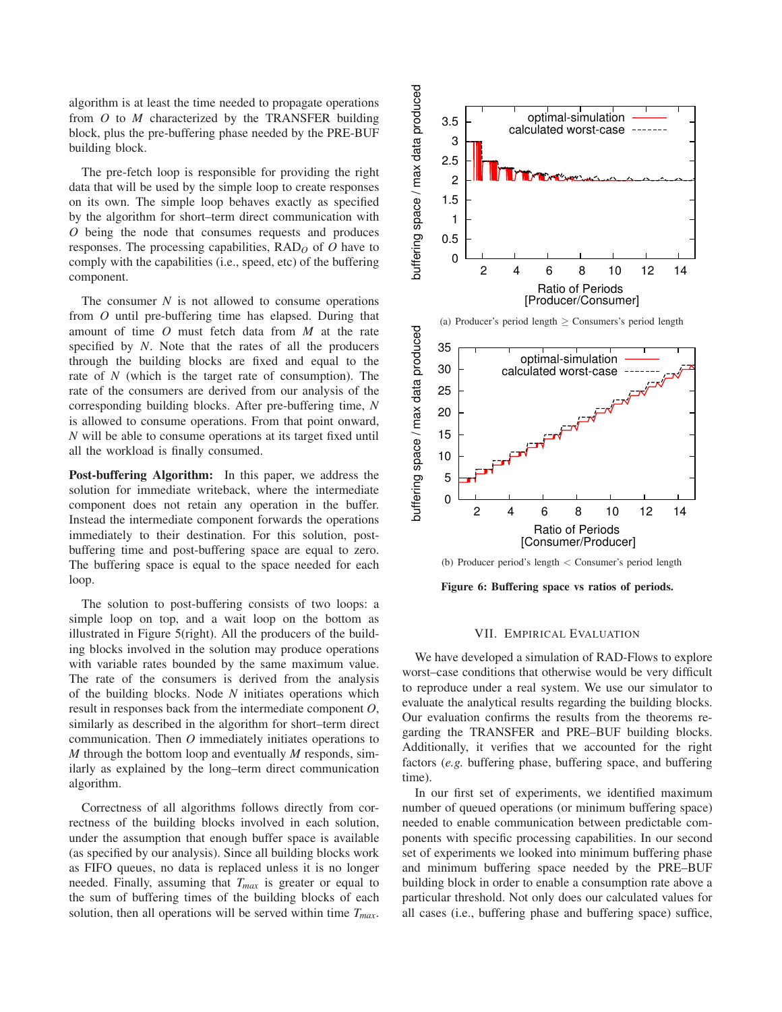algorithm is at least the time needed to propagate operations from *O* to *M* characterized by the TRANSFER building block, plus the pre-buffering phase needed by the PRE-BUF building block.

The pre-fetch loop is responsible for providing the right data that will be used by the simple loop to create responses on its own. The simple loop behaves exactly as specified by the algorithm for short–term direct communication with *O* being the node that consumes requests and produces responses. The processing capabilities, RAD*<sup>O</sup>* of *O* have to comply with the capabilities (i.e., speed, etc) of the buffering component.

The consumer  $N$  is not allowed to consume operations from *O* until pre-buffering time has elapsed. During that amount of time *O* must fetch data from *M* at the rate specified by *N*. Note that the rates of all the producers through the building blocks are fixed and equal to the rate of *N* (which is the target rate of consumption). The rate of the consumers are derived from our analysis of the corresponding building blocks. After pre-buffering time, *N* is allowed to consume operations. From that point onward, *N* will be able to consume operations at its target fixed until all the workload is finally consumed.

**Post-buffering Algorithm:** In this paper, we address the solution for immediate writeback, where the intermediate component does not retain any operation in the buffer. Instead the intermediate component forwards the operations immediately to their destination. For this solution, postbuffering time and post-buffering space are equal to zero. The buffering space is equal to the space needed for each loop.

The solution to post-buffering consists of two loops: a simple loop on top, and a wait loop on the bottom as illustrated in Figure 5(right). All the producers of the building blocks involved in the solution may produce operations with variable rates bounded by the same maximum value. The rate of the consumers is derived from the analysis of the building blocks. Node *N* initiates operations which result in responses back from the intermediate component *O*, similarly as described in the algorithm for short–term direct communication. Then *O* immediately initiates operations to *M* through the bottom loop and eventually *M* responds, similarly as explained by the long–term direct communication algorithm.

Correctness of all algorithms follows directly from correctness of the building blocks involved in each solution, under the assumption that enough buffer space is available (as specified by our analysis). Since all building blocks work as FIFO queues, no data is replaced unless it is no longer needed. Finally, assuming that *Tmax* is greater or equal to the sum of buffering times of the building blocks of each solution, then all operations will be served within time *Tmax*.



(b) Producer period's length < Consumer's period length

**Figure 6: Buffering space vs ratios of periods.**

## VII. EMPIRICAL EVALUATION

We have developed a simulation of RAD-Flows to explore worst–case conditions that otherwise would be very difficult to reproduce under a real system. We use our simulator to evaluate the analytical results regarding the building blocks. Our evaluation confirms the results from the theorems regarding the TRANSFER and PRE–BUF building blocks. Additionally, it verifies that we accounted for the right factors (*e.g.* buffering phase, buffering space, and buffering time).

In our first set of experiments, we identified maximum number of queued operations (or minimum buffering space) needed to enable communication between predictable components with specific processing capabilities. In our second set of experiments we looked into minimum buffering phase and minimum buffering space needed by the PRE–BUF building block in order to enable a consumption rate above a particular threshold. Not only does our calculated values for all cases (i.e., buffering phase and buffering space) suffice,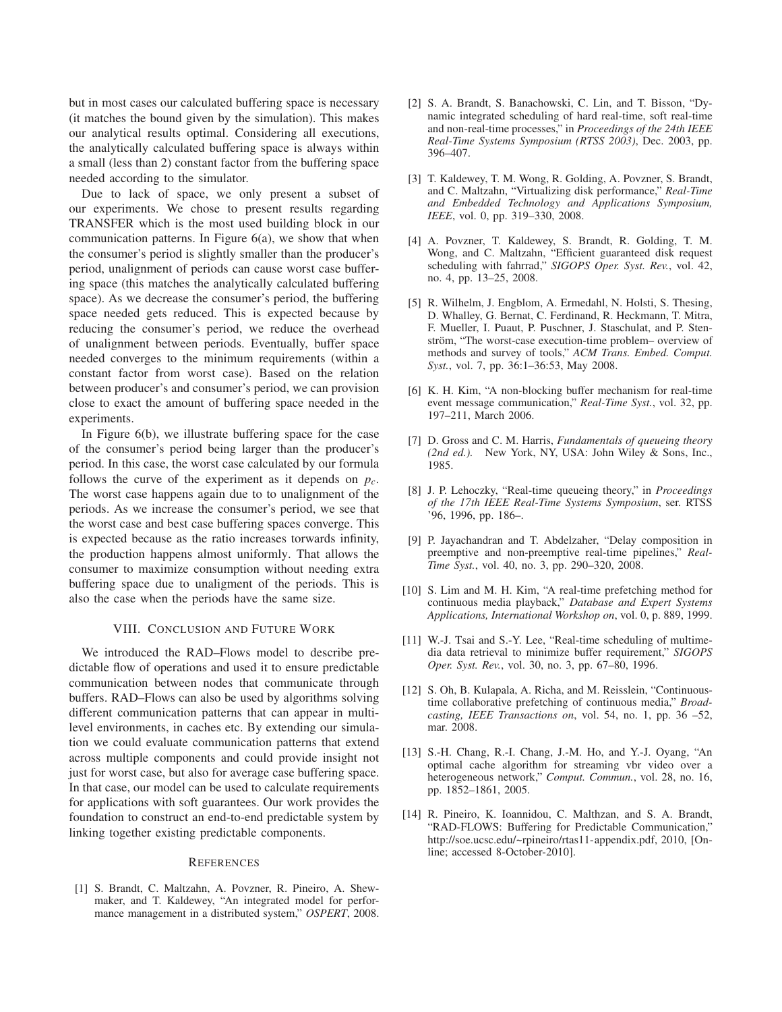but in most cases our calculated buffering space is necessary (it matches the bound given by the simulation). This makes our analytical results optimal. Considering all executions, the analytically calculated buffering space is always within a small (less than 2) constant factor from the buffering space needed according to the simulator.

Due to lack of space, we only present a subset of our experiments. We chose to present results regarding TRANSFER which is the most used building block in our communication patterns. In Figure  $6(a)$ , we show that when the consumer's period is slightly smaller than the producer's period, unalignment of periods can cause worst case buffering space (this matches the analytically calculated buffering space). As we decrease the consumer's period, the buffering space needed gets reduced. This is expected because by reducing the consumer's period, we reduce the overhead of unalignment between periods. Eventually, buffer space needed converges to the minimum requirements (within a constant factor from worst case). Based on the relation between producer's and consumer's period, we can provision close to exact the amount of buffering space needed in the experiments.

In Figure 6(b), we illustrate buffering space for the case of the consumer's period being larger than the producer's period. In this case, the worst case calculated by our formula follows the curve of the experiment as it depends on *pc*. The worst case happens again due to to unalignment of the periods. As we increase the consumer's period, we see that the worst case and best case buffering spaces converge. This is expected because as the ratio increases torwards infinity, the production happens almost uniformly. That allows the consumer to maximize consumption without needing extra buffering space due to unaligment of the periods. This is also the case when the periods have the same size.

## VIII. CONCLUSION AND FUTURE WORK

We introduced the RAD–Flows model to describe predictable flow of operations and used it to ensure predictable communication between nodes that communicate through buffers. RAD–Flows can also be used by algorithms solving different communication patterns that can appear in multilevel environments, in caches etc. By extending our simulation we could evaluate communication patterns that extend across multiple components and could provide insight not just for worst case, but also for average case buffering space. In that case, our model can be used to calculate requirements for applications with soft guarantees. Our work provides the foundation to construct an end-to-end predictable system by linking together existing predictable components.

#### **REFERENCES**

[1] S. Brandt, C. Maltzahn, A. Povzner, R. Pineiro, A. Shewmaker, and T. Kaldewey, "An integrated model for performance management in a distributed system," *OSPERT*, 2008.

- [2] S. A. Brandt, S. Banachowski, C. Lin, and T. Bisson, "Dynamic integrated scheduling of hard real-time, soft real-time and non-real-time processes," in *Proceedings of the 24th IEEE Real-Time Systems Symposium (RTSS 2003)*, Dec. 2003, pp. 396–407.
- [3] T. Kaldewey, T. M. Wong, R. Golding, A. Povzner, S. Brandt, and C. Maltzahn, "Virtualizing disk performance," *Real-Time and Embedded Technology and Applications Symposium, IEEE*, vol. 0, pp. 319–330, 2008.
- [4] A. Povzner, T. Kaldewey, S. Brandt, R. Golding, T. M. Wong, and C. Maltzahn, "Efficient guaranteed disk request scheduling with fahrrad," *SIGOPS Oper. Syst. Rev.*, vol. 42, no. 4, pp. 13–25, 2008.
- [5] R. Wilhelm, J. Engblom, A. Ermedahl, N. Holsti, S. Thesing, D. Whalley, G. Bernat, C. Ferdinand, R. Heckmann, T. Mitra, F. Mueller, I. Puaut, P. Puschner, J. Staschulat, and P. Stenström, "The worst-case execution-time problem– overview of methods and survey of tools," *ACM Trans. Embed. Comput. Syst.*, vol. 7, pp. 36:1–36:53, May 2008.
- [6] K. H. Kim, "A non-blocking buffer mechanism for real-time event message communication," *Real-Time Syst.*, vol. 32, pp. 197–211, March 2006.
- [7] D. Gross and C. M. Harris, *Fundamentals of queueing theory (2nd ed.).* New York, NY, USA: John Wiley & Sons, Inc., 1985.
- [8] J. P. Lehoczky, "Real-time queueing theory," in *Proceedings of the 17th IEEE Real-Time Systems Symposium*, ser. RTSS '96, 1996, pp. 186–.
- [9] P. Jayachandran and T. Abdelzaher, "Delay composition in preemptive and non-preemptive real-time pipelines," *Real-Time Syst.*, vol. 40, no. 3, pp. 290–320, 2008.
- [10] S. Lim and M. H. Kim, "A real-time prefetching method for continuous media playback," *Database and Expert Systems Applications, International Workshop on*, vol. 0, p. 889, 1999.
- [11] W.-J. Tsai and S.-Y. Lee, "Real-time scheduling of multimedia data retrieval to minimize buffer requirement," *SIGOPS Oper. Syst. Rev.*, vol. 30, no. 3, pp. 67–80, 1996.
- [12] S. Oh, B. Kulapala, A. Richa, and M. Reisslein, "Continuoustime collaborative prefetching of continuous media," *Broadcasting, IEEE Transactions on*, vol. 54, no. 1, pp. 36 –52, mar. 2008.
- [13] S.-H. Chang, R.-I. Chang, J.-M. Ho, and Y.-J. Oyang, "An optimal cache algorithm for streaming vbr video over a heterogeneous network," *Comput. Commun.*, vol. 28, no. 16, pp. 1852–1861, 2005.
- [14] R. Pineiro, K. Ioannidou, C. Malthzan, and S. A. Brandt, "RAD-FLOWS: Buffering for Predictable Communication," http://soe.ucsc.edu/~rpineiro/rtas11-appendix.pdf, 2010, [Online; accessed 8-October-2010].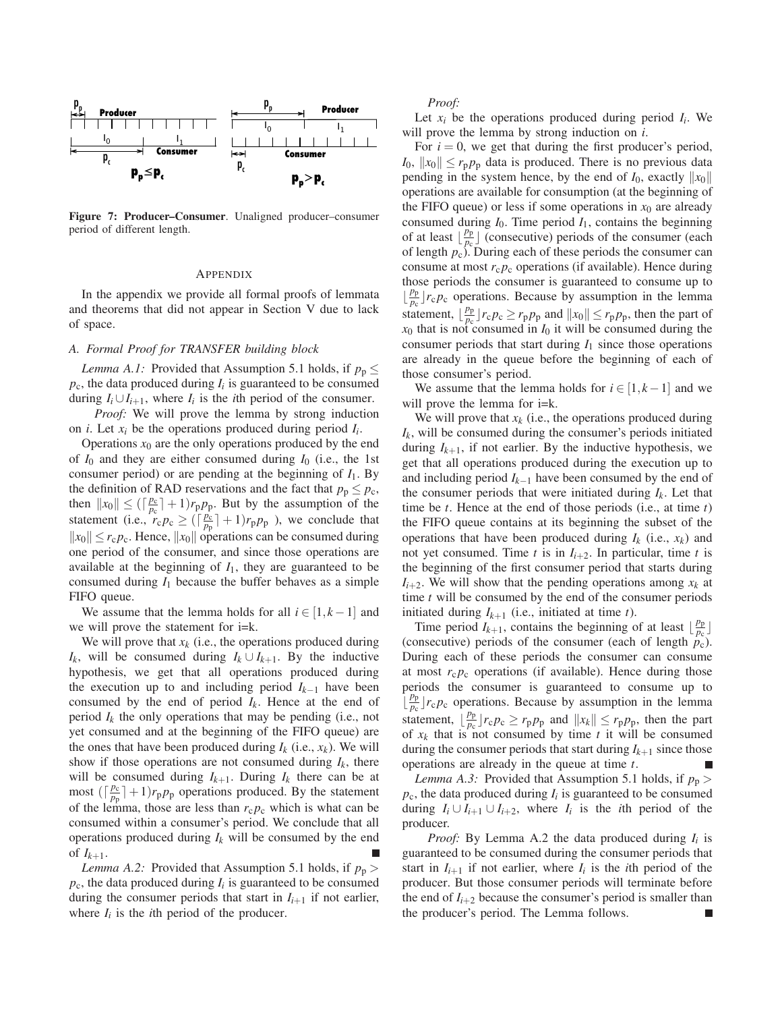

**Figure 7: Producer–Consumer**. Unaligned producer–consumer period of different length.

## APPENDIX

In the appendix we provide all formal proofs of lemmata and theorems that did not appear in Section V due to lack of space.

# *A. Formal Proof for TRANSFER building block*

*Lemma A.1:* Provided that Assumption 5.1 holds, if  $p_p \leq$  $p_c$ , the data produced during  $I_i$  is guaranteed to be consumed during  $I_i \cup I_{i+1}$ , where  $I_i$  is the *i*th period of the consumer.

*Proof:* We will prove the lemma by strong induction on *i*. Let *xi* be the operations produced during period *Ii*.

Operations  $x_0$  are the only operations produced by the end of  $I_0$  and they are either consumed during  $I_0$  (i.e., the 1st consumer period) or are pending at the beginning of  $I_1$ . By the definition of RAD reservations and the fact that  $p_p \leq p_c$ , then  $||x_0|| \leq (\lceil \frac{p_c}{p_c} \rceil + 1) r_p p_p$ . But by the assumption of the statement (i.e.,  $r_c p_c \geq (\frac{\rho_c}{p_p} + 1)r_p p_p$ ), we conclude that  $||x_0|| \leq r_c p_c$ . Hence,  $||x_0||$  operations can be consumed during one period of the consumer, and since those operations are available at the beginning of  $I_1$ , they are guaranteed to be consumed during  $I_1$  because the buffer behaves as a simple FIFO queue.

We assume that the lemma holds for all  $i \in [1, k-1]$  and we will prove the statement for i=k.

We will prove that  $x_k$  (i.e., the operations produced during *I<sub>k</sub>*, will be consumed during  $I_k \cup I_{k+1}$ . By the inductive hypothesis, we get that all operations produced during the execution up to and including period *Ik*−<sup>1</sup> have been consumed by the end of period  $I_k$ . Hence at the end of period  $I_k$  the only operations that may be pending (i.e., not yet consumed and at the beginning of the FIFO queue) are the ones that have been produced during  $I_k$  (i.e.,  $x_k$ ). We will show if those operations are not consumed during  $I_k$ , there will be consumed during  $I_{k+1}$ . During  $I_k$  there can be at most  $(\lceil \frac{p_c}{p_p} \rceil + 1)r_p p_p$  operations produced. By the statement of the lemma, those are less than  $r_c p_c$  which is what can be consumed within a consumer's period. We conclude that all operations produced during *Ik* will be consumed by the end of  $I_{k+1}$ .

*Lemma A.2:* Provided that Assumption 5.1 holds, if  $p_p$  $p_c$ , the data produced during  $I_i$  is guaranteed to be consumed during the consumer periods that start in  $I_{i+1}$  if not earlier, where  $I_i$  is the *i*th period of the producer.

*Proof:*

Let  $x_i$  be the operations produced during period  $I_i$ . We will prove the lemma by strong induction on *i*.

For  $i = 0$ , we get that during the first producer's period,  $I_0$ ,  $||x_0|| \le r_p p_p$  data is produced. There is no previous data pending in the system hence, by the end of  $I_0$ , exactly  $||x_0||$ operations are available for consumption (at the beginning of the FIFO queue) or less if some operations in  $x_0$  are already consumed during  $I_0$ . Time period  $I_1$ , contains the beginning of at least  $\lfloor \frac{p_p}{p_c} \rfloor$  (consecutive) periods of the consumer (each of length *p*c). During each of these periods the consumer can consume at most  $r_c p_c$  operations (if available). Hence during those periods the consumer is guaranteed to consume up to  $\left\lfloor \frac{p_p}{p_c} \right\rfloor r_c p_c$  operations. Because by assumption in the lemma statement,  $\left| \frac{p_p}{p_c} \right| r_c p_c \geq r_p p_p$  and  $\left| \left| x_0 \right| \right| \leq r_p p_p$ , then the part of  $x_0$  that is not consumed in  $I_0$  it will be consumed during the consumer periods that start during  $I_1$  since those operations are already in the queue before the beginning of each of those consumer's period.

We assume that the lemma holds for  $i \in [1, k-1]$  and we will prove the lemma for  $i=k$ .

We will prove that  $x_k$  (i.e., the operations produced during *Ik*, will be consumed during the consumer's periods initiated during  $I_{k+1}$ , if not earlier. By the inductive hypothesis, we get that all operations produced during the execution up to and including period *Ik*−<sup>1</sup> have been consumed by the end of the consumer periods that were initiated during  $I_k$ . Let that time be *t*. Hence at the end of those periods (i.e., at time *t*) the FIFO queue contains at its beginning the subset of the operations that have been produced during  $I_k$  (i.e.,  $x_k$ ) and not yet consumed. Time  $t$  is in  $I_{i+2}$ . In particular, time  $t$  is the beginning of the first consumer period that starts during  $I_{i+2}$ . We will show that the pending operations among  $x_k$  at time *t* will be consumed by the end of the consumer periods initiated during  $I_{k+1}$  (i.e., initiated at time  $t$ ).

Time period  $I_{k+1}$ , contains the beginning of at least  $\lfloor \frac{p_p}{p_c} \rfloor$ (consecutive) periods of the consumer (each of length *p*c). During each of these periods the consumer can consume at most  $r_c p_c$  operations (if available). Hence during those periods the consumer is guaranteed to consume up to  $\left(\frac{p_p}{p_c}\right) r_c p_c$  operations. Because by assumption in the lemma statement,  $\left\lfloor \frac{p_p}{p_c} \right\rfloor r_c p_c \geq r_p p_p$  and  $\left\| x_k \right\| \leq r_p p_p$ , then the part of  $x_k$  that is not consumed by time  $t$  it will be consumed during the consumer periods that start during  $I_{k+1}$  since those operations are already in the queue at time *t*.

*Lemma A.3:* Provided that Assumption 5.1 holds, if  $p_p$  $p_c$ , the data produced during  $I_i$  is guaranteed to be consumed during  $I_i \cup I_{i+1} \cup I_{i+2}$ , where  $I_i$  is the *i*th period of the producer.

*Proof:* By Lemma A.2 the data produced during  $I_i$  is guaranteed to be consumed during the consumer periods that start in  $I_{i+1}$  if not earlier, where  $I_i$  is the *i*th period of the producer. But those consumer periods will terminate before the end of  $I_{i+2}$  because the consumer's period is smaller than the producer's period. The Lemma follows.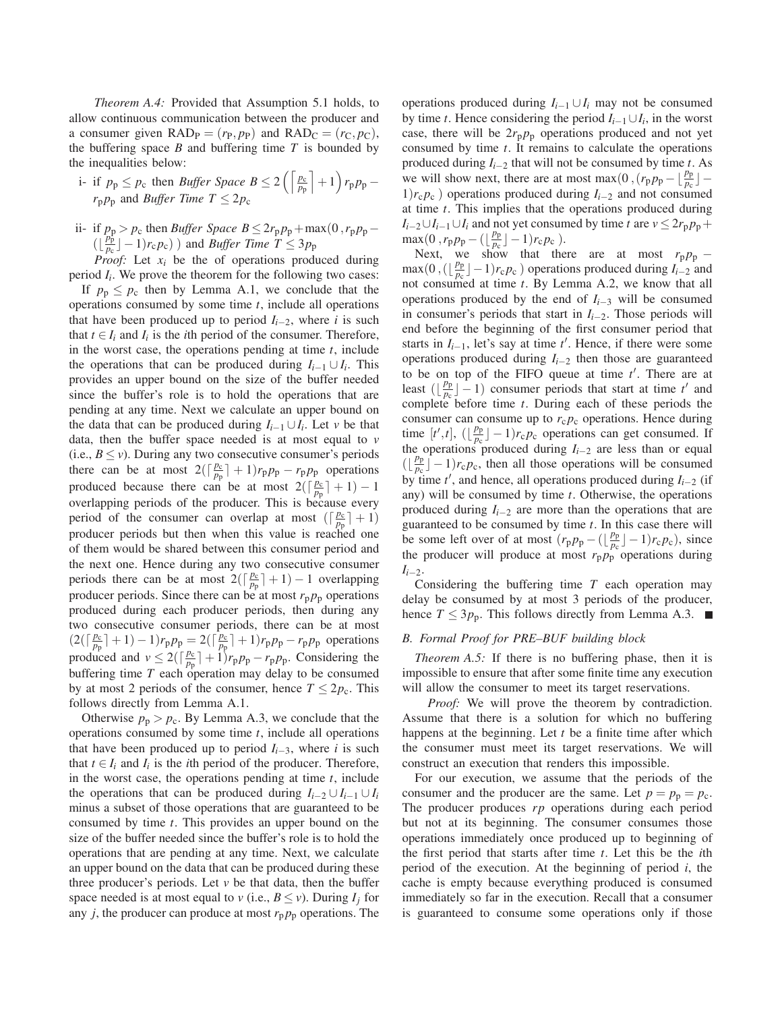*Theorem A.4:* Provided that Assumption 5.1 holds, to allow continuous communication between the producer and a consumer given  $\text{RAD}_P = (r_P, p_P)$  and  $\text{RAD}_C = (r_C, p_C)$ , the buffering space  $B$  and buffering time  $T$  is bounded by the inequalities below:

i- if 
$$
p_p \leq p_c
$$
 then *Buffer Space B*  $\leq$  2  $\left( \left\lceil \frac{p_c}{p_p} \right\rceil + 1 \right) r_p p_p - r_p p_p$  and *Buffer Time T*  $\leq$  2  $p_c$ 

ii- if  $p_p > p_c$  then *Buffer Space B* ≤ 2 $r_p p_p + \max(0, r_p p_p \left( \lfloor \frac{p_{\rm p}^{\rm p}}{p_{\rm c}} \rfloor -1 \right) r_{\rm c} p_{\rm c}$ ) and *Buffer Time T*  $\leq 3 p_{\rm p}$ 

*Proof:* Let  $x_i$  be the of operations produced during period *Ii*. We prove the theorem for the following two cases:

If  $p_p \leq p_c$  then by Lemma A.1, we conclude that the operations consumed by some time *t*, include all operations that have been produced up to period  $I_{i-2}$ , where *i* is such that  $t \in I_i$  and  $I_i$  is the *i*th period of the consumer. Therefore, in the worst case, the operations pending at time *t*, include the operations that can be produced during  $I_{i-1} \cup I_i$ . This provides an upper bound on the size of the buffer needed since the buffer's role is to hold the operations that are pending at any time. Next we calculate an upper bound on the data that can be produced during  $I_{i-1} \cup I_i$ . Let *v* be that data, then the buffer space needed is at most equal to *v* (i.e.,  $B \le v$ ). During any two consecutive consumer's periods there can be at most  $2(\lceil \frac{p_c}{p_p} \rceil + 1)r_p p_p - r_p p_p$  operations produced because there can be at most  $2(\lceil \frac{p_c}{p_p} \rceil + 1) - 1$ overlapping periods of the producer. This is because every period of the consumer can overlap at most  $(\lceil \frac{p_c}{p_p} \rceil + 1)$ producer periods but then when this value is reached one of them would be shared between this consumer period and the next one. Hence during any two consecutive consumer periods there can be at most  $2(\lceil \frac{p_c}{p_p} \rceil + 1) - 1$  overlapping producer periods. Since there can be at most  $r_p p_p$  operations produced during each producer periods, then during any two consecutive consumer periods, there can be at most  $(2(\lceil \frac{p_c}{p_p} \rceil + 1) - 1)r_p p_p = 2(\lceil \frac{p_c}{p_p} \rceil + 1)r_p p_p - r_p p_p$  operations produced and  $v \le 2(\lceil \frac{p_c}{p_p} \rceil + 1)$ *r*<sub>p</sub> $p_p - r_p p_p$ . Considering the buffering time *T* each operation may delay to be consumed by at most 2 periods of the consumer, hence  $T \leq 2p_c$ . This follows directly from Lemma A.1.

Otherwise  $p_p > p_c$ . By Lemma A.3, we conclude that the operations consumed by some time *t*, include all operations that have been produced up to period  $I_{i-3}$ , where *i* is such that  $t \in I_i$  and  $I_i$  is the *i*th period of the producer. Therefore, in the worst case, the operations pending at time *t*, include the operations that can be produced during  $I_{i-2} \cup I_{i-1} \cup I_i$ minus a subset of those operations that are guaranteed to be consumed by time *t*. This provides an upper bound on the size of the buffer needed since the buffer's role is to hold the operations that are pending at any time. Next, we calculate an upper bound on the data that can be produced during these three producer's periods. Let  $\nu$  be that data, then the buffer space needed is at most equal to *v* (i.e.,  $B \le v$ ). During  $I_i$  for any *j*, the producer can produce at most  $r_p p_p$  operations. The operations produced during *Ii*−<sup>1</sup> ∪*Ii* may not be consumed by time *t*. Hence considering the period  $I_{i-1} \cup I_i$ , in the worst case, there will be  $2r_p p_p$  operations produced and not yet consumed by time *t*. It remains to calculate the operations produced during *Ii*−<sup>2</sup> that will not be consumed by time *t*. As we will show next, there are at most max(0, $(r_p p_p - \lfloor \frac{p_p}{p_c} \rfloor -$ 1)*r*c*p*<sup>c</sup> ) operations produced during *Ii*−<sup>2</sup> and not consumed at time *t*. This implies that the operations produced during  $I_{i-2} \cup I_{i-1} \cup I_i$  and not yet consumed by time *t* are  $v \le 2r_p p_p +$  $\max(0, r_p p_p - (\lfloor \frac{p_p}{p_c} \rfloor - 1)r_c p_c).$ 

Next, we show that there are at most  $r_p p_p$  −  $\max(0, (\lfloor \frac{p_p}{p_c} \rfloor - 1)r_c p_c)$  operations produced during  $I_{i-2}$  and not consumed at time *t*. By Lemma A.2, we know that all operations produced by the end of *Ii*−<sup>3</sup> will be consumed in consumer's periods that start in *Ii*−2. Those periods will end before the beginning of the first consumer period that starts in  $I_{i-1}$ , let's say at time  $t'$ . Hence, if there were some operations produced during *Ii*−<sup>2</sup> then those are guaranteed to be on top of the FIFO queue at time  $t'$ . There are at least  $(\lfloor \frac{p_p}{p_c} \rfloor - 1)$  consumer periods that start at time *t'* and complete before time *t*. During each of these periods the consumer can consume up to  $r_c p_c$  operations. Hence during time  $[t',t]$ ,  $(\lfloor \frac{p_p}{p_c} \rfloor - 1)r_c p_c$  operations can get consumed. If the operations produced during  $I_{i-2}$  are less than or equal  $(\left\lfloor \frac{p_p}{p_c} \right\rfloor - 1) r_c p_c$ , then all those operations will be consumed by time  $t'$ , and hence, all operations produced during  $I_{i-2}$  (if any) will be consumed by time *t*. Otherwise, the operations produced during *Ii*−<sup>2</sup> are more than the operations that are guaranteed to be consumed by time *t*. In this case there will be some left over of at most  $(r_p p_p - (\lfloor \frac{p_p}{p_c} \rfloor - 1)r_c p_c)$ , since the producer will produce at most  $r_p p_p$  operations during *Ii*−2.

Considering the buffering time *T* each operation may delay be consumed by at most 3 periods of the producer, hence  $T \leq 3p_p$ . This follows directly from Lemma A.3.  $\blacksquare$ 

# *B. Formal Proof for PRE–BUF building block*

*Theorem A.5:* If there is no buffering phase, then it is impossible to ensure that after some finite time any execution will allow the consumer to meet its target reservations.

*Proof:* We will prove the theorem by contradiction. Assume that there is a solution for which no buffering happens at the beginning. Let *t* be a finite time after which the consumer must meet its target reservations. We will construct an execution that renders this impossible.

For our execution, we assume that the periods of the consumer and the producer are the same. Let  $p = p_p = p_c$ . The producer produces *rp* operations during each period but not at its beginning. The consumer consumes those operations immediately once produced up to beginning of the first period that starts after time *t*. Let this be the *i*th period of the execution. At the beginning of period *i*, the cache is empty because everything produced is consumed immediately so far in the execution. Recall that a consumer is guaranteed to consume some operations only if those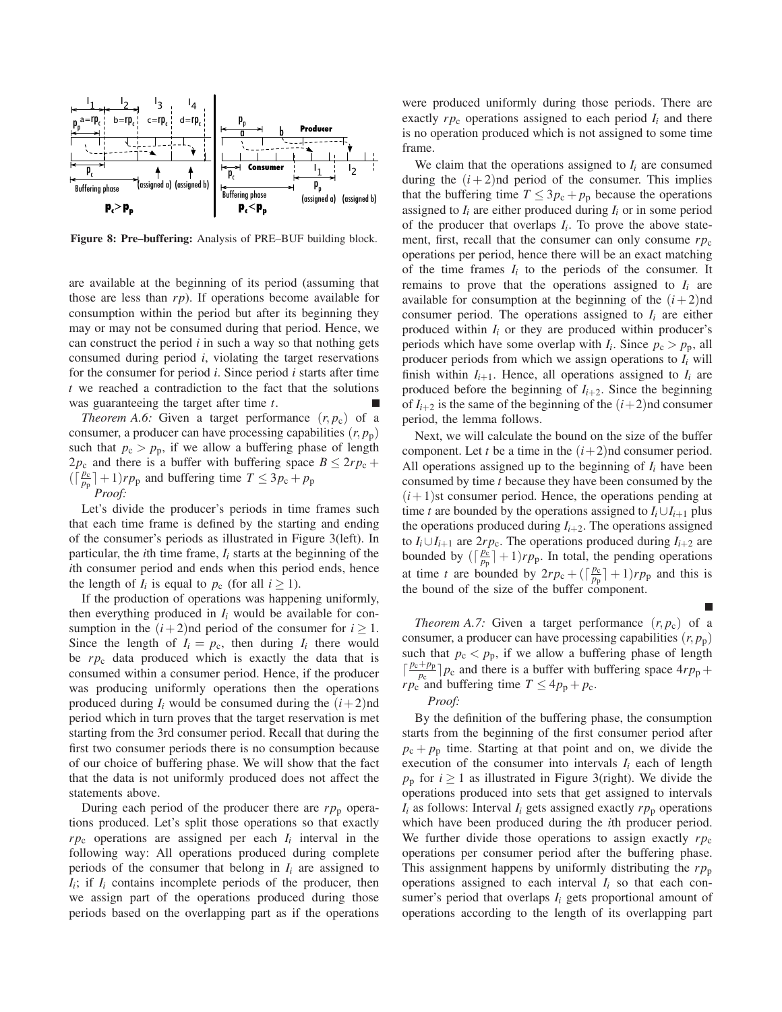

**Figure 8: Pre–buffering:** Analysis of PRE–BUF building block.

are available at the beginning of its period (assuming that those are less than *rp*). If operations become available for consumption within the period but after its beginning they may or may not be consumed during that period. Hence, we can construct the period *i* in such a way so that nothing gets consumed during period *i*, violating the target reservations for the consumer for period *i*. Since period *i* starts after time *t* we reached a contradiction to the fact that the solutions was guaranteeing the target after time *t*.

*Theorem A.6:* Given a target performance  $(r, p_c)$  of a consumer, a producer can have processing capabilities  $(r, p_p)$ such that  $p_c > p_p$ , if we allow a buffering phase of length  $2p_c$  and there is a buffer with buffering space  $B \leq 2rp_c +$  $(\lceil \frac{p_c}{p_p} \rceil + 1)rp_p$  and buffering time  $T \leq 3p_c + p_p$ 

*Proof:*

Let's divide the producer's periods in time frames such that each time frame is defined by the starting and ending of the consumer's periods as illustrated in Figure 3(left). In particular, the *i*th time frame,  $I_i$  starts at the beginning of the *i*th consumer period and ends when this period ends, hence the length of  $I_i$  is equal to  $p_c$  (for all  $i \ge 1$ ).

If the production of operations was happening uniformly, then everything produced in *Ii* would be available for consumption in the  $(i+2)$ nd period of the consumer for  $i \geq 1$ . Since the length of  $I_i = p_c$ , then during  $I_i$  there would be *rp*<sup>c</sup> data produced which is exactly the data that is consumed within a consumer period. Hence, if the producer was producing uniformly operations then the operations produced during  $I_i$  would be consumed during the  $(i+2)$ nd period which in turn proves that the target reservation is met starting from the 3rd consumer period. Recall that during the first two consumer periods there is no consumption because of our choice of buffering phase. We will show that the fact that the data is not uniformly produced does not affect the statements above.

During each period of the producer there are  $rp_p$  operations produced. Let's split those operations so that exactly  $rp_c$  operations are assigned per each  $I_i$  interval in the following way: All operations produced during complete periods of the consumer that belong in  $I_i$  are assigned to  $I_i$ ; if  $I_i$  contains incomplete periods of the producer, then we assign part of the operations produced during those periods based on the overlapping part as if the operations were produced uniformly during those periods. There are exactly  $rp_c$  operations assigned to each period  $I_i$  and there is no operation produced which is not assigned to some time frame.

We claim that the operations assigned to  $I_i$  are consumed during the  $(i+2)$ nd period of the consumer. This implies that the buffering time  $T \leq 3p_c + p_p$  because the operations assigned to  $I_i$  are either produced during  $I_i$  or in some period of the producer that overlaps  $I_i$ . To prove the above statement, first, recall that the consumer can only consume  $rp_c$ operations per period, hence there will be an exact matching of the time frames  $I_i$  to the periods of the consumer. It remains to prove that the operations assigned to  $I_i$  are available for consumption at the beginning of the  $(i+2)$ nd consumer period. The operations assigned to  $I_i$  are either produced within  $I_i$  or they are produced within producer's periods which have some overlap with  $I_i$ . Since  $p_c > p_p$ , all producer periods from which we assign operations to *Ii* will finish within  $I_{i+1}$ . Hence, all operations assigned to  $I_i$  are produced before the beginning of  $I_{i+2}$ . Since the beginning of  $I_{i+2}$  is the same of the beginning of the  $(i+2)$ nd consumer period, the lemma follows.

Next, we will calculate the bound on the size of the buffer component. Let *t* be a time in the  $(i+2)$ nd consumer period. All operations assigned up to the beginning of  $I_i$  have been consumed by time *t* because they have been consumed by the  $(i+1)$ st consumer period. Hence, the operations pending at time *t* are bounded by the operations assigned to  $I_i \cup I_{i+1}$  plus the operations produced during  $I_{i+2}$ . The operations assigned to  $I_i \cup I_{i+1}$  are  $2rp_c$ . The operations produced during  $I_{i+2}$  are bounded by  $(\lceil \frac{p_c}{p_p} \rceil + 1)rp_p$ . In total, the pending operations at time *t* are bounded by  $2rp_c + (\lceil \frac{p_c}{p_p} \rceil + 1)rp_p$  and this is the bound of the size of the buffer component.

*Theorem A.7:* Given a target performance  $(r, p_c)$  of a consumer, a producer can have processing capabilities  $(r, p_p)$ such that  $p_c < p_p$ , if we allow a buffering phase of length  $\left[\frac{p_c+p_p}{p_c}\right]p_c$  and there is a buffer with buffering space  $4rp_p +$ *rp*<sub>c</sub> and buffering time  $T \leq 4p_p + p_c$ .

#### *Proof:*

By the definition of the buffering phase, the consumption starts from the beginning of the first consumer period after  $p_c + p_p$  time. Starting at that point and on, we divide the execution of the consumer into intervals  $I_i$  each of length  $p_p$  for *i*  $\geq$  1 as illustrated in Figure 3(right). We divide the operations produced into sets that get assigned to intervals  $I_i$  as follows: Interval  $I_i$  gets assigned exactly  $rp_p$  operations which have been produced during the *i*th producer period. We further divide those operations to assign exactly  $rp_c$ operations per consumer period after the buffering phase. This assignment happens by uniformly distributing the  $rp<sub>p</sub>$ operations assigned to each interval  $I_i$  so that each consumer's period that overlaps  $I_i$  gets proportional amount of operations according to the length of its overlapping part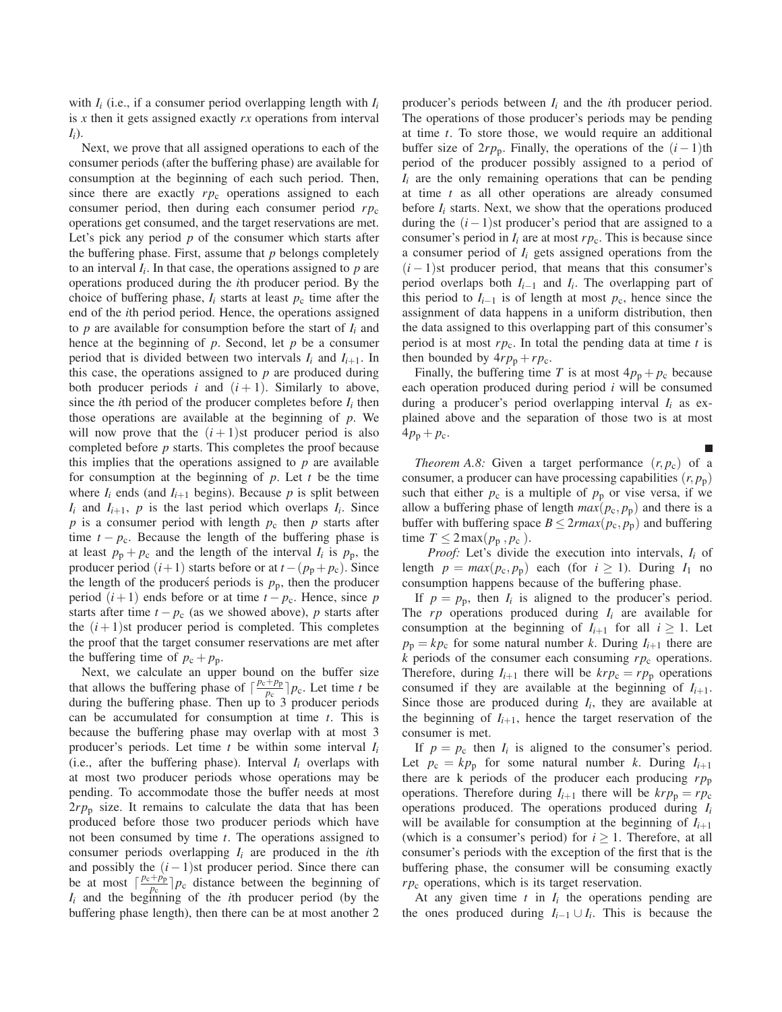with  $I_i$  (i.e., if a consumer period overlapping length with  $I_i$ is *x* then it gets assigned exactly *rx* operations from interval *Ii*).

Next, we prove that all assigned operations to each of the consumer periods (after the buffering phase) are available for consumption at the beginning of each such period. Then, since there are exactly  $rp_c$  operations assigned to each consumer period, then during each consumer period *rp*<sup>c</sup> operations get consumed, and the target reservations are met. Let's pick any period *p* of the consumer which starts after the buffering phase. First, assume that *p* belongs completely to an interval  $I_i$ . In that case, the operations assigned to  $p$  are operations produced during the *i*th producer period. By the choice of buffering phase,  $I_i$  starts at least  $p_c$  time after the end of the *i*th period period. Hence, the operations assigned to *p* are available for consumption before the start of *Ii* and hence at the beginning of *p*. Second, let *p* be a consumer period that is divided between two intervals  $I_i$  and  $I_{i+1}$ . In this case, the operations assigned to *p* are produced during both producer periods  $i$  and  $(i + 1)$ . Similarly to above, since the *i*th period of the producer completes before  $I_i$  then those operations are available at the beginning of *p*. We will now prove that the  $(i + 1)$ st producer period is also completed before *p* starts. This completes the proof because this implies that the operations assigned to  $p$  are available for consumption at the beginning of *p*. Let *t* be the time where  $I_i$  ends (and  $I_{i+1}$  begins). Because  $p$  is split between  $I_i$  and  $I_{i+1}$ ,  $p$  is the last period which overlaps  $I_i$ . Since  $p$  is a consumer period with length  $p_c$  then  $p$  starts after time  $t - p_c$ . Because the length of the buffering phase is at least  $p_p + p_c$  and the length of the interval  $I_i$  is  $p_p$ , the producer period  $(i+1)$  starts before or at  $t - (p_p + p_c)$ . Since the length of the producers periods is  $p_p$ , then the producer period  $(i+1)$  ends before or at time  $t - p_c$ . Hence, since *p* starts after time  $t - p_c$  (as we showed above), *p* starts after the  $(i+1)$ st producer period is completed. This completes the proof that the target consumer reservations are met after the buffering time of  $p_c + p_p$ .

Next, we calculate an upper bound on the buffer size that allows the buffering phase of  $\left[\frac{p_c+p_p}{p_c}\right]p_c$ . Let time *t* be during the buffering phase. Then up to 3 producer periods can be accumulated for consumption at time *t*. This is because the buffering phase may overlap with at most 3 producer's periods. Let time *t* be within some interval *Ii* (i.e., after the buffering phase). Interval  $I_i$  overlaps with at most two producer periods whose operations may be pending. To accommodate those the buffer needs at most  $2rp_p$  size. It remains to calculate the data that has been produced before those two producer periods which have not been consumed by time *t*. The operations assigned to consumer periods overlapping *Ii* are produced in the *i*th and possibly the  $(i - 1)$ st producer period. Since there can be at most  $\left[\frac{p_c+p_p}{p_c}\right]p_c$  distance between the beginning of *Ii* and the beginning of the *i*th producer period (by the buffering phase length), then there can be at most another 2 producer's periods between *Ii* and the *i*th producer period. The operations of those producer's periods may be pending at time *t*. To store those, we would require an additional buffer size of  $2rp_p$ . Finally, the operations of the  $(i-1)$ th period of the producer possibly assigned to a period of *Ii* are the only remaining operations that can be pending at time *t* as all other operations are already consumed before  $I_i$  starts. Next, we show that the operations produced during the  $(i-1)$ st producer's period that are assigned to a consumer's period in  $I_i$  are at most  $rp_c$ . This is because since a consumer period of *Ii* gets assigned operations from the  $(i - 1)$ st producer period, that means that this consumer's period overlaps both *Ii*−<sup>1</sup> and *Ii*. The overlapping part of this period to  $I_{i-1}$  is of length at most  $p_c$ , hence since the assignment of data happens in a uniform distribution, then the data assigned to this overlapping part of this consumer's period is at most  $rp_c$ . In total the pending data at time  $t$  is then bounded by  $4rp_p + rp_c$ .

Finally, the buffering time *T* is at most  $4p_p + p_c$  because each operation produced during period *i* will be consumed during a producer's period overlapping interval *Ii* as explained above and the separation of those two is at most  $4p_{p} + p_{c}$ .

*Theorem A.8:* Given a target performance  $(r, p_c)$  of a consumer, a producer can have processing capabilities  $(r, p_p)$ such that either  $p_c$  is a multiple of  $p_p$  or vise versa, if we allow a buffering phase of length  $max(p_c, p_p)$  and there is a buffer with buffering space  $B \leq 2r \cdot max(p_c, p_p)$  and buffering time  $T \leq 2 \max(p_p, p_c)$ .

*Proof:* Let's divide the execution into intervals, *Ii* of length  $p = max(p_c, p_p)$  each (for  $i \ge 1$ ). During  $I_1$  no consumption happens because of the buffering phase.

If  $p = p_p$ , then  $I_i$  is aligned to the producer's period. The  $rp$  operations produced during  $I_i$  are available for consumption at the beginning of  $I_{i+1}$  for all  $i \geq 1$ . Let  $p_p = k p_c$  for some natural number *k*. During  $I_{i+1}$  there are *k* periods of the consumer each consuming *rp*<sup>c</sup> operations. Therefore, during  $I_{i+1}$  there will be  $krp_c = rp_p$  operations consumed if they are available at the beginning of  $I_{i+1}$ . Since those are produced during  $I_i$ , they are available at the beginning of  $I_{i+1}$ , hence the target reservation of the consumer is met.

If  $p = p_c$  then  $I_i$  is aligned to the consumer's period. Let  $p_c = kp_p$  for some natural number *k*. During  $I_{i+1}$ there are k periods of the producer each producing  $rp_p$ operations. Therefore during  $I_{i+1}$  there will be  $krp_p = rp_c$ operations produced. The operations produced during *Ii* will be available for consumption at the beginning of  $I_{i+1}$ (which is a consumer's period) for  $i \geq 1$ . Therefore, at all consumer's periods with the exception of the first that is the buffering phase, the consumer will be consuming exactly *rp*<sup>c</sup> operations, which is its target reservation.

At any given time  $t$  in  $I_i$  the operations pending are the ones produced during  $I_{i-1} \cup I_i$ . This is because the